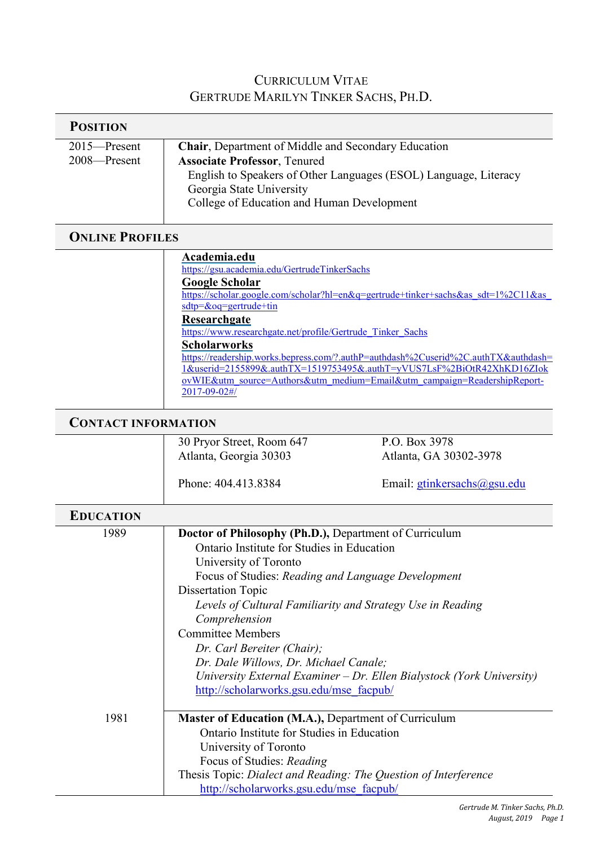## CURRICULUM VITAE GERTRUDE MARILYN TINKER SACHS, PH.D.

| <b>POSITION</b>              |                                                                                                                                                                                                                                                                                                                                                                                 |                                                                                                                                                                                                                                                                                                                                |
|------------------------------|---------------------------------------------------------------------------------------------------------------------------------------------------------------------------------------------------------------------------------------------------------------------------------------------------------------------------------------------------------------------------------|--------------------------------------------------------------------------------------------------------------------------------------------------------------------------------------------------------------------------------------------------------------------------------------------------------------------------------|
| 2015-Present<br>2008-Present | Chair, Department of Middle and Secondary Education<br><b>Associate Professor</b> , Tenured<br>Georgia State University<br>College of Education and Human Development                                                                                                                                                                                                           | English to Speakers of Other Languages (ESOL) Language, Literacy                                                                                                                                                                                                                                                               |
| <b>ONLINE PROFILES</b>       |                                                                                                                                                                                                                                                                                                                                                                                 |                                                                                                                                                                                                                                                                                                                                |
|                              | Academia.edu<br>https://gsu.academia.edu/GertrudeTinkerSachs<br><b>Google Scholar</b><br>sdtp=&oq=gertrude+tin<br>Researchgate<br>https://www.researchgate.net/profile/Gertrude Tinker Sachs<br><b>Scholarworks</b><br>2017-09-02#/                                                                                                                                             | https://scholar.google.com/scholar?hl=en&q=gertrude+tinker+sachs&as_sdt=1%2C11&as_<br>https://readership.works.bepress.com/?.authP=authdash%2Cuserid%2C.authTX&authdash=<br>1&userid=2155899&.authTX=1519753495&.authT=yVUS7LsF%2BiOtR42XhKD16ZIok<br>ovWIE&utm_source=Authors&utm_medium=Email&utm_campaign=ReadershipReport- |
| <b>CONTACT INFORMATION</b>   |                                                                                                                                                                                                                                                                                                                                                                                 |                                                                                                                                                                                                                                                                                                                                |
|                              | 30 Pryor Street, Room 647<br>Atlanta, Georgia 30303<br>Phone: 404.413.8384                                                                                                                                                                                                                                                                                                      | P.O. Box 3978<br>Atlanta, GA 30302-3978<br>Email: gtinkersachs@gsu.edu                                                                                                                                                                                                                                                         |
|                              |                                                                                                                                                                                                                                                                                                                                                                                 |                                                                                                                                                                                                                                                                                                                                |
| <b>EDUCATION</b>             |                                                                                                                                                                                                                                                                                                                                                                                 |                                                                                                                                                                                                                                                                                                                                |
| 1989                         | Doctor of Philosophy (Ph.D.), Department of Curriculum<br>Ontario Institute for Studies in Education<br>University of Toronto<br>Focus of Studies: Reading and Language Development<br><b>Dissertation Topic</b><br>Comprehension<br><b>Committee Members</b><br>Dr. Carl Bereiter (Chair);<br>Dr. Dale Willows, Dr. Michael Canale;<br>http://scholarworks.gsu.edu/mse facpub/ | Levels of Cultural Familiarity and Strategy Use in Reading<br>University External Examiner - Dr. Ellen Bialystock (York University)                                                                                                                                                                                            |
| 1981                         | Master of Education (M.A.), Department of Curriculum<br>Ontario Institute for Studies in Education<br>University of Toronto<br>Focus of Studies: Reading<br>Thesis Topic: Dialect and Reading: The Question of Interference<br>http://scholarworks.gsu.edu/mse facpub/                                                                                                          |                                                                                                                                                                                                                                                                                                                                |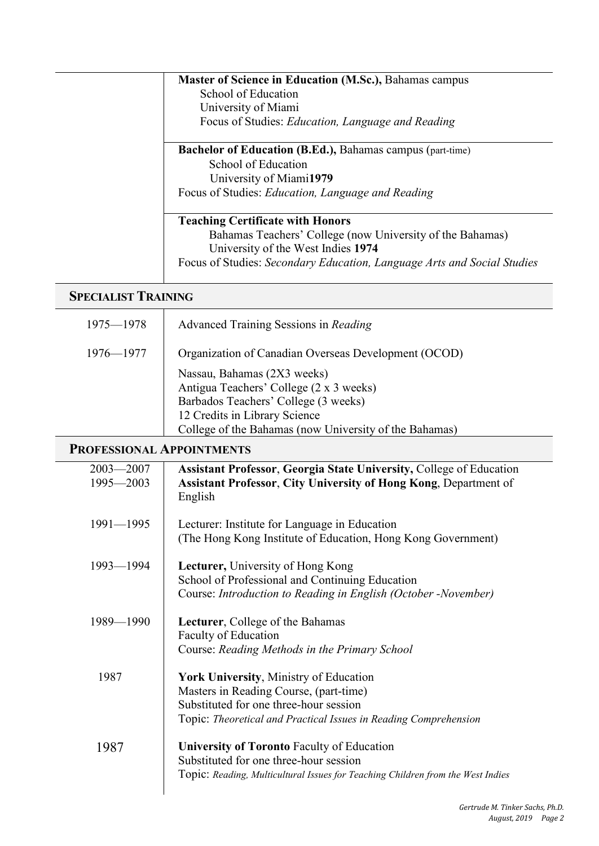| <b>Master of Science in Education (M.Sc.), Bahamas campus</b>           |
|-------------------------------------------------------------------------|
| School of Education                                                     |
| University of Miami                                                     |
| Focus of Studies: Education, Language and Reading                       |
| <b>Bachelor of Education (B.Ed.), Bahamas campus (part-time)</b>        |
| School of Education                                                     |
| University of Miami1979                                                 |
| Focus of Studies: Education, Language and Reading                       |
| <b>Teaching Certificate with Honors</b>                                 |
| Bahamas Teachers' College (now University of the Bahamas)               |
| University of the West Indies 1974                                      |
| Focus of Studies: Secondary Education, Language Arts and Social Studies |
|                                                                         |

## **SPECIALIST TRAINING**

| 1975—1978     | Advanced Training Sessions in Reading                                                                                                                                                                     |
|---------------|-----------------------------------------------------------------------------------------------------------------------------------------------------------------------------------------------------------|
| $1976 - 1977$ | Organization of Canadian Overseas Development (OCOD)                                                                                                                                                      |
|               | Nassau, Bahamas (2X3 weeks)<br>Antigua Teachers' College (2 x 3 weeks)<br>Barbados Teachers' College (3 weeks)<br>12 Credits in Library Science<br>College of the Bahamas (now University of the Bahamas) |

## **PROFESSIONAL APPOINTMENTS**

| $2003 - 2007$ | <b>Assistant Professor, Georgia State University, College of Education</b>      |
|---------------|---------------------------------------------------------------------------------|
| 1995-2003     | <b>Assistant Professor, City University of Hong Kong, Department of</b>         |
|               | English                                                                         |
| $1991 - 1995$ | Lecturer: Institute for Language in Education                                   |
|               | (The Hong Kong Institute of Education, Hong Kong Government)                    |
| $1993 - 1994$ | <b>Lecturer, University of Hong Kong</b>                                        |
|               | School of Professional and Continuing Education                                 |
|               | Course: Introduction to Reading in English (October -November)                  |
| 1989-1990     | Lecturer, College of the Bahamas                                                |
|               | <b>Faculty of Education</b>                                                     |
|               | Course: Reading Methods in the Primary School                                   |
| 1987          | York University, Ministry of Education                                          |
|               | Masters in Reading Course, (part-time)                                          |
|               | Substituted for one three-hour session                                          |
|               | Topic: Theoretical and Practical Issues in Reading Comprehension                |
| 1987          | <b>University of Toronto Faculty of Education</b>                               |
|               | Substituted for one three-hour session                                          |
|               | Topic: Reading, Multicultural Issues for Teaching Children from the West Indies |
|               |                                                                                 |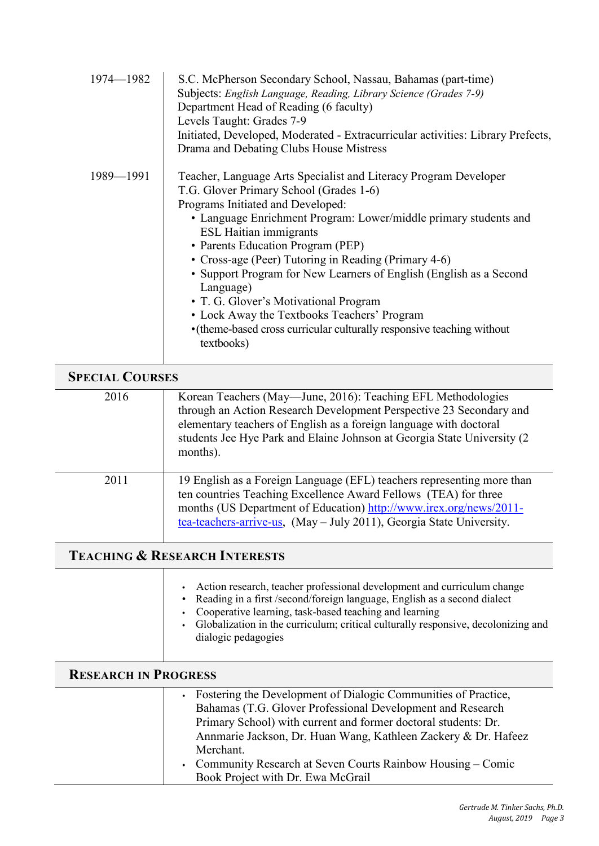| 1974-1982 | S.C. McPherson Secondary School, Nassau, Bahamas (part-time)<br>Subjects: English Language, Reading, Library Science (Grades 7-9)<br>Department Head of Reading (6 faculty)<br>Levels Taught: Grades 7-9<br>Initiated, Developed, Moderated - Extracurricular activities: Library Prefects,<br>Drama and Debating Clubs House Mistress                                                                                                                                                                                                                                                                                |
|-----------|-----------------------------------------------------------------------------------------------------------------------------------------------------------------------------------------------------------------------------------------------------------------------------------------------------------------------------------------------------------------------------------------------------------------------------------------------------------------------------------------------------------------------------------------------------------------------------------------------------------------------|
| 1989-1991 | Teacher, Language Arts Specialist and Literacy Program Developer<br>T.G. Glover Primary School (Grades 1-6)<br>Programs Initiated and Developed:<br>• Language Enrichment Program: Lower/middle primary students and<br><b>ESL Haitian immigrants</b><br>• Parents Education Program (PEP)<br>• Cross-age (Peer) Tutoring in Reading (Primary 4-6)<br>• Support Program for New Learners of English (English as a Second<br>Language)<br>• T. G. Glover's Motivational Program<br>• Lock Away the Textbooks Teachers' Program<br>• (theme-based cross curricular culturally responsive teaching without<br>textbooks) |

| <b>SPECIAL COURSES</b> |                                                                                                                                                                                                                                                                                                   |
|------------------------|---------------------------------------------------------------------------------------------------------------------------------------------------------------------------------------------------------------------------------------------------------------------------------------------------|
| 2016                   | Korean Teachers (May—June, 2016): Teaching EFL Methodologies<br>through an Action Research Development Perspective 23 Secondary and<br>elementary teachers of English as a foreign language with doctoral<br>students Jee Hye Park and Elaine Johnson at Georgia State University (2)<br>months). |
| 2011                   | 19 English as a Foreign Language (EFL) teachers representing more than<br>ten countries Teaching Excellence Award Fellows (TEA) for three<br>months (US Department of Education) http://www.irex.org/news/2011-<br>tea-teachers-arrive-us, (May – July 2011), Georgia State University.           |

## **TEACHING & RESEARCH INTERESTS**

Т

|                             | Action research, teacher professional development and curriculum change<br>• Reading in a first /second/foreign language, English as a second dialect<br>Cooperative learning, task-based teaching and learning<br>• Globalization in the curriculum; critical culturally responsive, decolonizing and<br>dialogic pedagogies |
|-----------------------------|-------------------------------------------------------------------------------------------------------------------------------------------------------------------------------------------------------------------------------------------------------------------------------------------------------------------------------|
| <b>RESEARCH IN PROGRESS</b> |                                                                                                                                                                                                                                                                                                                               |
|                             |                                                                                                                                                                                                                                                                                                                               |

| • Fostering the Development of Dialogic Communities of Practice, |
|------------------------------------------------------------------|
| Bahamas (T.G. Glover Professional Development and Research       |
| Primary School) with current and former doctoral students: Dr.   |
| Annmarie Jackson, Dr. Huan Wang, Kathleen Zackery & Dr. Hafeez   |
| Merchant.                                                        |
| • Community Research at Seven Courts Rainbow Housing – Comic     |
| Book Project with Dr. Ewa McGrail                                |
|                                                                  |

e<br>He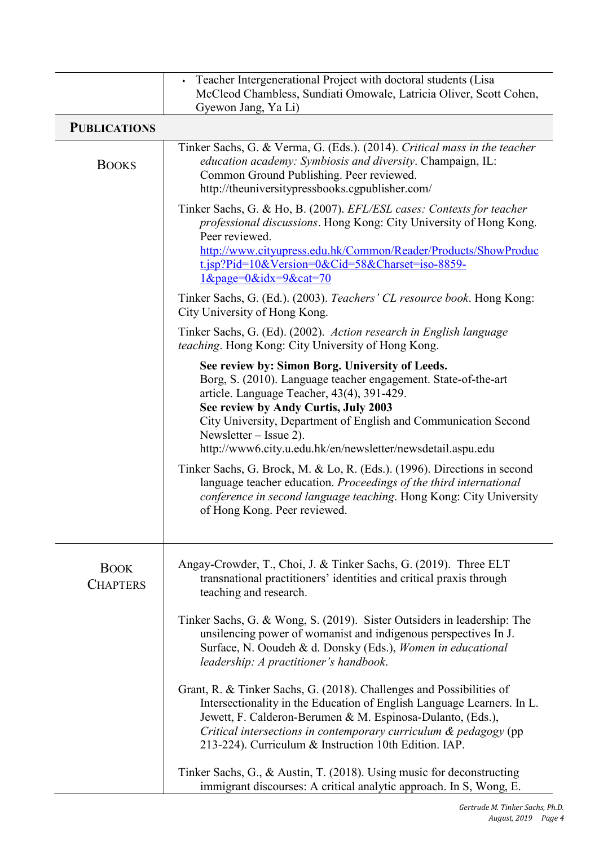|                                | Teacher Intergenerational Project with doctoral students (Lisa<br>$\bullet$<br>McCleod Chambless, Sundiati Omowale, Latricia Oliver, Scott Cohen,<br>Gyewon Jang, Ya Li)                                                                                                                                                                                            |
|--------------------------------|---------------------------------------------------------------------------------------------------------------------------------------------------------------------------------------------------------------------------------------------------------------------------------------------------------------------------------------------------------------------|
| <b>PUBLICATIONS</b>            |                                                                                                                                                                                                                                                                                                                                                                     |
| <b>BOOKS</b>                   | Tinker Sachs, G. & Verma, G. (Eds.). (2014). Critical mass in the teacher<br>education academy: Symbiosis and diversity. Champaign, IL:<br>Common Ground Publishing. Peer reviewed.<br>http://theuniversitypressbooks.cgpublisher.com/                                                                                                                              |
|                                | Tinker Sachs, G. & Ho, B. (2007). EFL/ESL cases: Contexts for teacher<br><i>professional discussions.</i> Hong Kong: City University of Hong Kong.<br>Peer reviewed.<br>http://www.cityupress.edu.hk/Common/Reader/Products/ShowProduc<br>t.jsp?Pid=10&Version=0&Cid=58&Charset=iso-8859-<br>$1\&page=0\&idx=9\&cat=70$                                             |
|                                | Tinker Sachs, G. (Ed.). (2003). Teachers' CL resource book. Hong Kong:<br>City University of Hong Kong.                                                                                                                                                                                                                                                             |
|                                | Tinker Sachs, G. (Ed). (2002). Action research in English language<br><i>teaching</i> . Hong Kong: City University of Hong Kong.                                                                                                                                                                                                                                    |
|                                | See review by: Simon Borg. University of Leeds.<br>Borg, S. (2010). Language teacher engagement. State-of-the-art<br>article. Language Teacher, 43(4), 391-429.<br>See review by Andy Curtis, July 2003<br>City University, Department of English and Communication Second<br>Newsletter – Issue 2).<br>http://www6.city.u.edu.hk/en/newsletter/newsdetail.aspu.edu |
|                                | Tinker Sachs, G. Brock, M. & Lo, R. (Eds.). (1996). Directions in second<br>language teacher education. Proceedings of the third international<br>conference in second language teaching. Hong Kong: City University<br>of Hong Kong. Peer reviewed.                                                                                                                |
| <b>BOOK</b><br><b>CHAPTERS</b> | Angay-Crowder, T., Choi, J. & Tinker Sachs, G. (2019). Three ELT<br>transnational practitioners' identities and critical praxis through<br>teaching and research.                                                                                                                                                                                                   |
|                                | Tinker Sachs, G. & Wong, S. (2019). Sister Outsiders in leadership: The<br>unsilencing power of womanist and indigenous perspectives In J.<br>Surface, N. Ooudeh & d. Donsky (Eds.), Women in educational<br>leadership: A practitioner's handbook.                                                                                                                 |
|                                | Grant, R. & Tinker Sachs, G. (2018). Challenges and Possibilities of<br>Intersectionality in the Education of English Language Learners. In L.<br>Jewett, F. Calderon-Berumen & M. Espinosa-Dulanto, (Eds.),<br>Critical intersections in contemporary curriculum & pedagogy (pp)<br>213-224). Curriculum & Instruction 10th Edition. IAP.                          |
|                                | Tinker Sachs, G., & Austin, T. (2018). Using music for deconstructing<br>immigrant discourses: A critical analytic approach. In S, Wong, E.                                                                                                                                                                                                                         |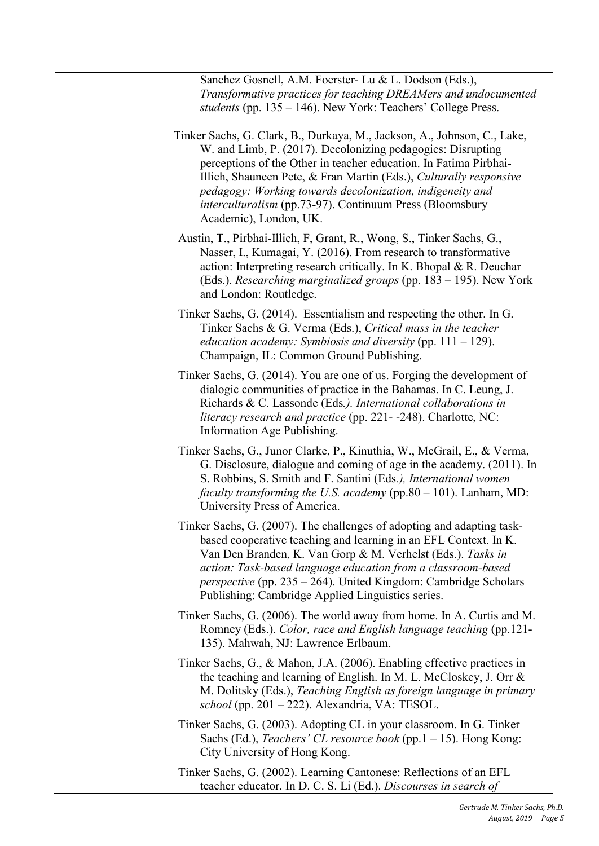| Sanchez Gosnell, A.M. Foerster- Lu & L. Dodson (Eds.),<br>Transformative practices for teaching DREAMers and undocumented<br>students (pp. 135 – 146). New York: Teachers' College Press.                                                                                                                                                                                                                                             |
|---------------------------------------------------------------------------------------------------------------------------------------------------------------------------------------------------------------------------------------------------------------------------------------------------------------------------------------------------------------------------------------------------------------------------------------|
| Tinker Sachs, G. Clark, B., Durkaya, M., Jackson, A., Johnson, C., Lake,<br>W. and Limb, P. (2017). Decolonizing pedagogies: Disrupting<br>perceptions of the Other in teacher education. In Fatima Pirbhai-<br>Illich, Shauneen Pete, & Fran Martin (Eds.), Culturally responsive<br>pedagogy: Working towards decolonization, indigeneity and<br>interculturalism (pp.73-97). Continuum Press (Bloomsbury<br>Academic), London, UK. |
| Austin, T., Pirbhai-Illich, F, Grant, R., Wong, S., Tinker Sachs, G.,<br>Nasser, I., Kumagai, Y. (2016). From research to transformative<br>action: Interpreting research critically. In K. Bhopal & R. Deuchar<br>(Eds.). Researching marginalized groups (pp. 183 – 195). New York<br>and London: Routledge.                                                                                                                        |
| Tinker Sachs, G. (2014). Essentialism and respecting the other. In G.<br>Tinker Sachs & G. Verma (Eds.), Critical mass in the teacher<br><i>education academy:</i> Symbiosis and diversity (pp. $111 - 129$ ).<br>Champaign, IL: Common Ground Publishing.                                                                                                                                                                            |
| Tinker Sachs, G. (2014). You are one of us. Forging the development of<br>dialogic communities of practice in the Bahamas. In C. Leung, J.<br>Richards & C. Lassonde (Eds.). International collaborations in<br>literacy research and practice (pp. 221--248). Charlotte, NC:<br>Information Age Publishing.                                                                                                                          |
| Tinker Sachs, G., Junor Clarke, P., Kinuthia, W., McGrail, E., & Verma,<br>G. Disclosure, dialogue and coming of age in the academy. (2011). In<br>S. Robbins, S. Smith and F. Santini (Eds.), International women<br><i>faculty transforming the U.S. academy</i> ( $pp.80 - 101$ ). Lanham, MD:<br>University Press of America.                                                                                                     |
| Tinker Sachs, G. (2007). The challenges of adopting and adapting task-<br>based cooperative teaching and learning in an EFL Context. In K.<br>Van Den Branden, K. Van Gorp & M. Verhelst (Eds.). Tasks in<br>action: Task-based language education from a classroom-based<br><i>perspective</i> (pp. 235 – 264). United Kingdom: Cambridge Scholars<br>Publishing: Cambridge Applied Linguistics series.                              |
| Tinker Sachs, G. (2006). The world away from home. In A. Curtis and M.<br>Romney (Eds.). Color, race and English language teaching (pp.121-<br>135). Mahwah, NJ: Lawrence Erlbaum.                                                                                                                                                                                                                                                    |
| Tinker Sachs, G., & Mahon, J.A. (2006). Enabling effective practices in<br>the teaching and learning of English. In M. L. McCloskey, J. Orr &<br>M. Dolitsky (Eds.), Teaching English as foreign language in primary<br>school (pp. 201 – 222). Alexandria, VA: TESOL.                                                                                                                                                                |
| Tinker Sachs, G. (2003). Adopting CL in your classroom. In G. Tinker<br>Sachs (Ed.), <i>Teachers' CL resource book</i> (pp.1 $-$ 15). Hong Kong:<br>City University of Hong Kong.                                                                                                                                                                                                                                                     |
| Tinker Sachs, G. (2002). Learning Cantonese: Reflections of an EFL<br>teacher educator. In D. C. S. Li (Ed.). Discourses in search of                                                                                                                                                                                                                                                                                                 |

 $\overline{a}$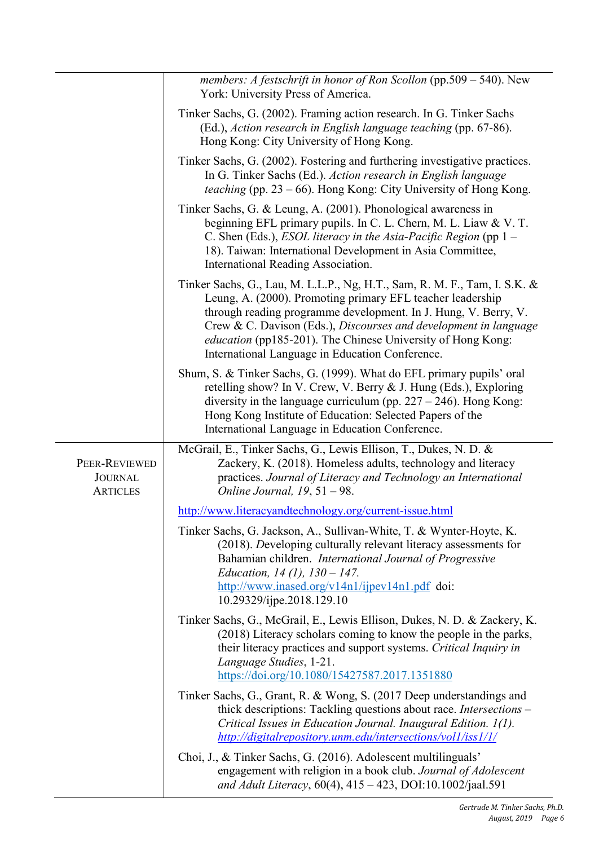|                                                    | members: A festschrift in honor of Ron Scollon (pp.509 - 540). New<br>York: University Press of America.                                                                                                                                                                                                                                                                                                |
|----------------------------------------------------|---------------------------------------------------------------------------------------------------------------------------------------------------------------------------------------------------------------------------------------------------------------------------------------------------------------------------------------------------------------------------------------------------------|
|                                                    | Tinker Sachs, G. (2002). Framing action research. In G. Tinker Sachs<br>(Ed.), Action research in English language teaching (pp. 67-86).<br>Hong Kong: City University of Hong Kong.                                                                                                                                                                                                                    |
|                                                    | Tinker Sachs, G. (2002). Fostering and furthering investigative practices.<br>In G. Tinker Sachs (Ed.). Action research in English language<br><i>teaching</i> (pp. $23 - 66$ ). Hong Kong: City University of Hong Kong.                                                                                                                                                                               |
|                                                    | Tinker Sachs, G. & Leung, A. (2001). Phonological awareness in<br>beginning EFL primary pupils. In C. L. Chern, M. L. Liaw & V. T.<br>C. Shen (Eds.), <i>ESOL literacy in the Asia-Pacific Region</i> (pp 1 -<br>18). Taiwan: International Development in Asia Committee,<br>International Reading Association.                                                                                        |
|                                                    | Tinker Sachs, G., Lau, M. L.L.P., Ng, H.T., Sam, R. M. F., Tam, I. S.K. &<br>Leung, A. (2000). Promoting primary EFL teacher leadership<br>through reading programme development. In J. Hung, V. Berry, V.<br>Crew & C. Davison (Eds.), Discourses and development in language<br><i>education</i> (pp185-201). The Chinese University of Hong Kong:<br>International Language in Education Conference. |
|                                                    | Shum, S. & Tinker Sachs, G. (1999). What do EFL primary pupils' oral<br>retelling show? In V. Crew, V. Berry & J. Hung (Eds.), Exploring<br>diversity in the language curriculum (pp. $227 - 246$ ). Hong Kong:<br>Hong Kong Institute of Education: Selected Papers of the<br>International Language in Education Conference.                                                                          |
| PEER-REVIEWED<br><b>JOURNAL</b><br><b>ARTICLES</b> | McGrail, E., Tinker Sachs, G., Lewis Ellison, T., Dukes, N. D. &<br>Zackery, K. (2018). Homeless adults, technology and literacy<br>practices. Journal of Literacy and Technology an International<br>Online Journal, $19, 51 - 98$ .                                                                                                                                                                   |
|                                                    | http://www.literacyandtechnology.org/current-issue.html                                                                                                                                                                                                                                                                                                                                                 |
|                                                    | Tinker Sachs, G. Jackson, A., Sullivan-White, T. & Wynter-Hoyte, K.<br>(2018). Developing culturally relevant literacy assessments for<br>Bahamian children. International Journal of Progressive<br>Education, 14 (1), $130 - 147$ .<br>http://www.inased.org/v14n1/ijpev14n1.pdf doi:                                                                                                                 |
|                                                    | 10.29329/ijpe.2018.129.10                                                                                                                                                                                                                                                                                                                                                                               |
|                                                    | Tinker Sachs, G., McGrail, E., Lewis Ellison, Dukes, N. D. & Zackery, K.<br>(2018) Literacy scholars coming to know the people in the parks,<br>their literacy practices and support systems. Critical Inquiry in<br>Language Studies, 1-21.<br>https://doi.org/10.1080/15427587.2017.1351880                                                                                                           |
|                                                    | Tinker Sachs, G., Grant, R. & Wong, S. (2017 Deep understandings and<br>thick descriptions: Tackling questions about race. Intersections -<br>Critical Issues in Education Journal. Inaugural Edition. 1(1).<br>http://digitalrepository.unm.edu/intersections/vol1/iss1/1/                                                                                                                             |
|                                                    | Choi, J., & Tinker Sachs, G. (2016). Adolescent multilinguals'<br>engagement with religion in a book club. Journal of Adolescent<br>and Adult Literacy, 60(4), 415 - 423, DOI:10.1002/jaal.591                                                                                                                                                                                                          |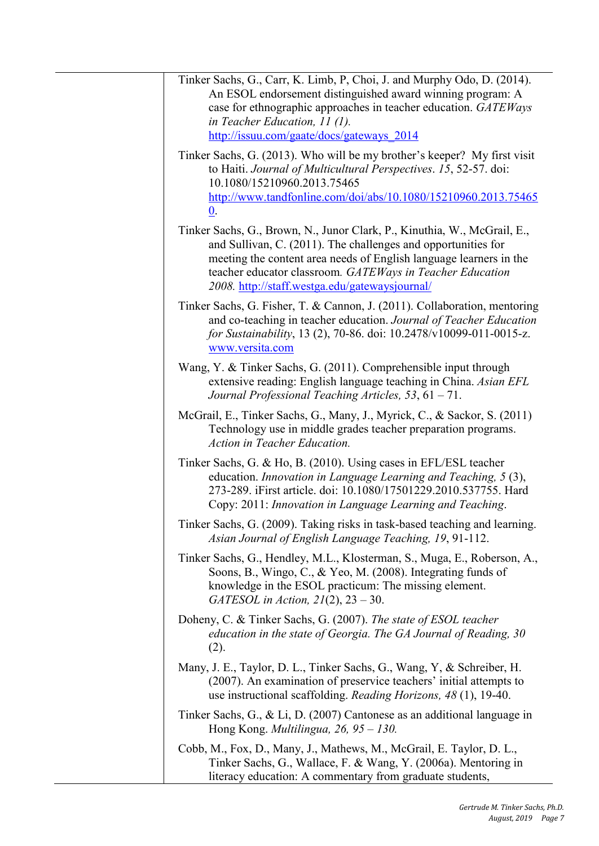| Tinker Sachs, G., Carr, K. Limb, P, Choi, J. and Murphy Odo, D. (2014).<br>An ESOL endorsement distinguished award winning program: A<br>case for ethnographic approaches in teacher education. GATEWays<br>in Teacher Education, 11 (1).<br>http://issuu.com/gaate/docs/gateways 2014                                         |
|--------------------------------------------------------------------------------------------------------------------------------------------------------------------------------------------------------------------------------------------------------------------------------------------------------------------------------|
| Tinker Sachs, G. (2013). Who will be my brother's keeper? My first visit<br>to Haiti. Journal of Multicultural Perspectives. 15, 52-57. doi:<br>10.1080/15210960.2013.75465<br>http://www.tandfonline.com/doi/abs/10.1080/15210960.2013.75465<br>$\underline{0}$ .                                                             |
| Tinker Sachs, G., Brown, N., Junor Clark, P., Kinuthia, W., McGrail, E.,<br>and Sullivan, C. (2011). The challenges and opportunities for<br>meeting the content area needs of English language learners in the<br>teacher educator classroom. GATEWays in Teacher Education<br>2008. http://staff.westga.edu/gatewaysjournal/ |
| Tinker Sachs, G. Fisher, T. & Cannon, J. (2011). Collaboration, mentoring<br>and co-teaching in teacher education. Journal of Teacher Education<br>for Sustainability, 13 (2), 70-86. doi: 10.2478/v10099-011-0015-z.<br>www.versita.com                                                                                       |
| Wang, Y. & Tinker Sachs, G. (2011). Comprehensible input through<br>extensive reading: English language teaching in China. Asian EFL<br>Journal Professional Teaching Articles, $53, 61 - 71$ .                                                                                                                                |
| McGrail, E., Tinker Sachs, G., Many, J., Myrick, C., & Sackor, S. (2011)<br>Technology use in middle grades teacher preparation programs.<br><b>Action in Teacher Education.</b>                                                                                                                                               |
| Tinker Sachs, G. & Ho, B. (2010). Using cases in EFL/ESL teacher<br>education. Innovation in Language Learning and Teaching, 5 (3),<br>273-289. iFirst article. doi: 10.1080/17501229.2010.537755. Hard<br>Copy: 2011: Innovation in Language Learning and Teaching.                                                           |
| Tinker Sachs, G. (2009). Taking risks in task-based teaching and learning.<br>Asian Journal of English Language Teaching, 19, 91-112.                                                                                                                                                                                          |
| Tinker Sachs, G., Hendley, M.L., Klosterman, S., Muga, E., Roberson, A.,<br>Soons, B., Wingo, C., & Yeo, M. (2008). Integrating funds of<br>knowledge in the ESOL practicum: The missing element.<br>GATESOL in Action, $21(2)$ , $23-30$ .                                                                                    |
| Doheny, C. & Tinker Sachs, G. (2007). The state of ESOL teacher<br>education in the state of Georgia. The GA Journal of Reading, 30<br>(2).                                                                                                                                                                                    |
| Many, J. E., Taylor, D. L., Tinker Sachs, G., Wang, Y, & Schreiber, H.<br>(2007). An examination of preservice teachers' initial attempts to<br>use instructional scaffolding. Reading Horizons, 48 (1), 19-40.                                                                                                                |
| Tinker Sachs, G., & Li, D. (2007) Cantonese as an additional language in<br>Hong Kong. <i>Multilingua</i> , $26$ , $95 - 130$ .                                                                                                                                                                                                |
| Cobb, M., Fox, D., Many, J., Mathews, M., McGrail, E. Taylor, D. L.,<br>Tinker Sachs, G., Wallace, F. & Wang, Y. (2006a). Mentoring in<br>literacy education: A commentary from graduate students,                                                                                                                             |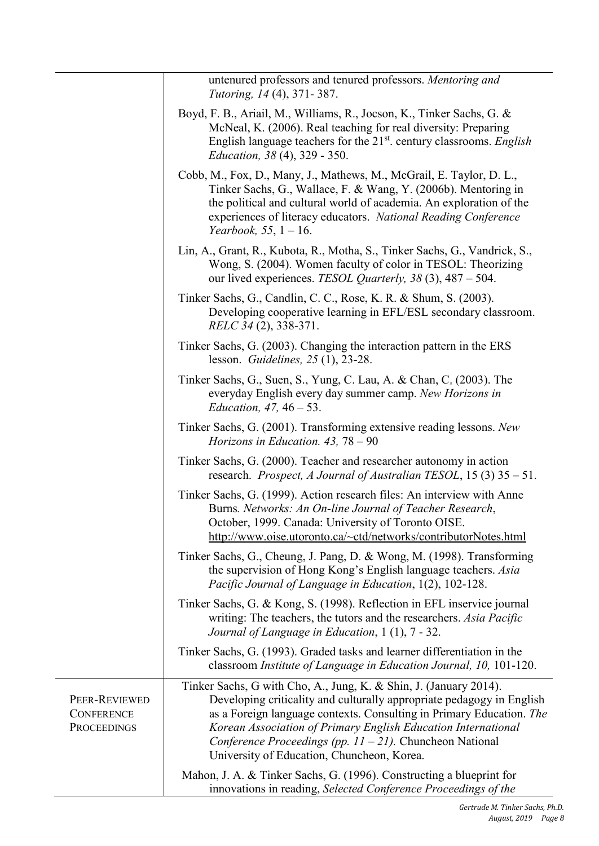|                                                          | untenured professors and tenured professors. Mentoring and<br><i>Tutoring, 14 (4), 371-387.</i>                                                                                                                                                                                                                                                                                                  |
|----------------------------------------------------------|--------------------------------------------------------------------------------------------------------------------------------------------------------------------------------------------------------------------------------------------------------------------------------------------------------------------------------------------------------------------------------------------------|
|                                                          | Boyd, F. B., Ariail, M., Williams, R., Jocson, K., Tinker Sachs, G. &<br>McNeal, K. (2006). Real teaching for real diversity: Preparing<br>English language teachers for the 21 <sup>st</sup> . century classrooms. English<br><i>Education, 38 (4), 329 - 350.</i>                                                                                                                              |
|                                                          | Cobb, M., Fox, D., Many, J., Mathews, M., McGrail, E. Taylor, D. L.,<br>Tinker Sachs, G., Wallace, F. & Wang, Y. (2006b). Mentoring in<br>the political and cultural world of academia. An exploration of the<br>experiences of literacy educators. National Reading Conference<br><i>Yearbook</i> , 55, $1 - 16$ .                                                                              |
|                                                          | Lin, A., Grant, R., Kubota, R., Motha, S., Tinker Sachs, G., Vandrick, S.,<br>Wong, S. (2004). Women faculty of color in TESOL: Theorizing<br>our lived experiences. TESOL Quarterly, 38 (3), 487 – 504.                                                                                                                                                                                         |
|                                                          | Tinker Sachs, G., Candlin, C. C., Rose, K. R. & Shum, S. (2003).<br>Developing cooperative learning in EFL/ESL secondary classroom.<br><i>RELC 34 (2), 338-371.</i>                                                                                                                                                                                                                              |
|                                                          | Tinker Sachs, G. (2003). Changing the interaction pattern in the ERS<br>lesson. Guidelines, $25(1)$ , $23-28$ .                                                                                                                                                                                                                                                                                  |
|                                                          | Tinker Sachs, G., Suen, S., Yung, C. Lau, A. & Chan, C. (2003). The<br>everyday English every day summer camp. New Horizons in<br><i>Education</i> , $47, 46 - 53$ .                                                                                                                                                                                                                             |
|                                                          | Tinker Sachs, G. (2001). Transforming extensive reading lessons. New<br>Horizons in Education. $43, 78 - 90$                                                                                                                                                                                                                                                                                     |
|                                                          | Tinker Sachs, G. (2000). Teacher and researcher autonomy in action<br>research. Prospect, A Journal of Australian TESOL, 15 (3) 35 - 51.                                                                                                                                                                                                                                                         |
|                                                          | Tinker Sachs, G. (1999). Action research files: An interview with Anne<br>Burns. Networks: An On-line Journal of Teacher Research,<br>October, 1999. Canada: University of Toronto OISE.<br>http://www.oise.utoronto.ca/~ctd/networks/contributorNotes.html                                                                                                                                      |
|                                                          | Tinker Sachs, G., Cheung, J. Pang, D. & Wong, M. (1998). Transforming<br>the supervision of Hong Kong's English language teachers. Asia<br>Pacific Journal of Language in Education, 1(2), 102-128.                                                                                                                                                                                              |
|                                                          | Tinker Sachs, G. & Kong, S. (1998). Reflection in EFL inservice journal<br>writing: The teachers, the tutors and the researchers. Asia Pacific<br>Journal of Language in Education, 1 (1), 7 - 32.                                                                                                                                                                                               |
|                                                          | Tinker Sachs, G. (1993). Graded tasks and learner differentiation in the<br>classroom Institute of Language in Education Journal, 10, 101-120.                                                                                                                                                                                                                                                   |
| PEER-REVIEWED<br><b>CONFERENCE</b><br><b>PROCEEDINGS</b> | Tinker Sachs, G with Cho, A., Jung, K. & Shin, J. (January 2014).<br>Developing criticality and culturally appropriate pedagogy in English<br>as a Foreign language contexts. Consulting in Primary Education. The<br>Korean Association of Primary English Education International<br>Conference Proceedings (pp. $11 - 21$ ). Chuncheon National<br>University of Education, Chuncheon, Korea. |
|                                                          | Mahon, J. A. & Tinker Sachs, G. (1996). Constructing a blueprint for<br>innovations in reading, Selected Conference Proceedings of the                                                                                                                                                                                                                                                           |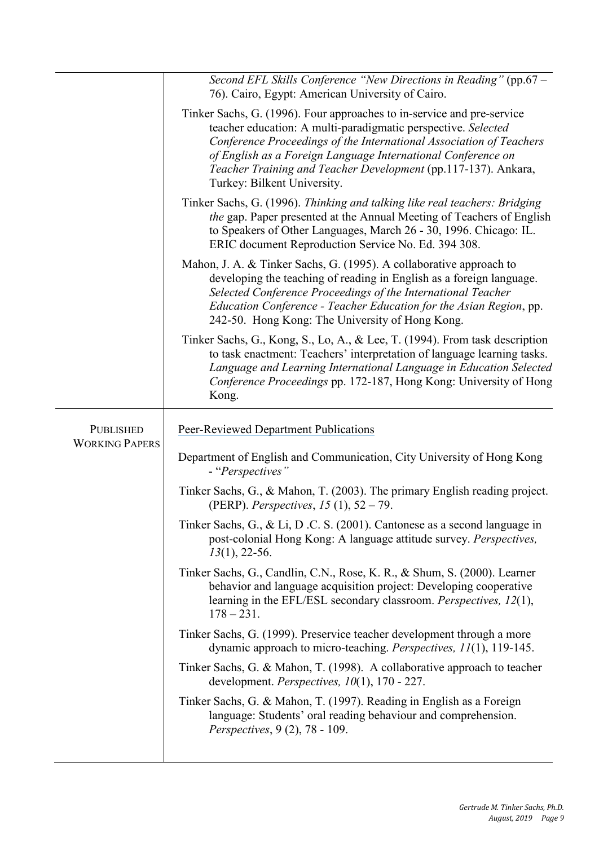|                                           | Second EFL Skills Conference "New Directions in Reading" (pp.67 -<br>76). Cairo, Egypt: American University of Cairo.                                                                                                                                                                                                                                                           |
|-------------------------------------------|---------------------------------------------------------------------------------------------------------------------------------------------------------------------------------------------------------------------------------------------------------------------------------------------------------------------------------------------------------------------------------|
|                                           | Tinker Sachs, G. (1996). Four approaches to in-service and pre-service<br>teacher education: A multi-paradigmatic perspective. Selected<br>Conference Proceedings of the International Association of Teachers<br>of English as a Foreign Language International Conference on<br>Teacher Training and Teacher Development (pp.117-137). Ankara,<br>Turkey: Bilkent University. |
|                                           | Tinker Sachs, G. (1996). Thinking and talking like real teachers: Bridging<br>the gap. Paper presented at the Annual Meeting of Teachers of English<br>to Speakers of Other Languages, March 26 - 30, 1996. Chicago: IL.<br>ERIC document Reproduction Service No. Ed. 394 308.                                                                                                 |
|                                           | Mahon, J. A. & Tinker Sachs, G. (1995). A collaborative approach to<br>developing the teaching of reading in English as a foreign language.<br>Selected Conference Proceedings of the International Teacher<br>Education Conference - Teacher Education for the Asian Region, pp.<br>242-50. Hong Kong: The University of Hong Kong.                                            |
|                                           | Tinker Sachs, G., Kong, S., Lo, A., & Lee, T. (1994). From task description<br>to task enactment: Teachers' interpretation of language learning tasks.<br>Language and Learning International Language in Education Selected<br>Conference Proceedings pp. 172-187, Hong Kong: University of Hong<br>Kong.                                                                      |
| <b>PUBLISHED</b><br><b>WORKING PAPERS</b> | <b>Peer-Reviewed Department Publications</b>                                                                                                                                                                                                                                                                                                                                    |
|                                           | Department of English and Communication, City University of Hong Kong<br>- "Perspectives"                                                                                                                                                                                                                                                                                       |
|                                           | Tinker Sachs, G., & Mahon, T. (2003). The primary English reading project.<br>(PERP). Perspectives, 15 (1), $52 - 79$ .                                                                                                                                                                                                                                                         |
|                                           | Tinker Sachs, G., & Li, D.C. S. (2001). Cantonese as a second language in<br>post-colonial Hong Kong: A language attitude survey. Perspectives,<br>$13(1)$ , 22-56.                                                                                                                                                                                                             |
|                                           | Tinker Sachs, G., Candlin, C.N., Rose, K. R., & Shum, S. (2000). Learner<br>behavior and language acquisition project: Developing cooperative<br>learning in the EFL/ESL secondary classroom. Perspectives, 12(1),<br>$178 - 231.$                                                                                                                                              |
|                                           | Tinker Sachs, G. (1999). Preservice teacher development through a more<br>dynamic approach to micro-teaching. Perspectives, 11(1), 119-145.                                                                                                                                                                                                                                     |
|                                           | Tinker Sachs, G. & Mahon, T. (1998). A collaborative approach to teacher<br>development. Perspectives, $10(1)$ , 170 - 227.                                                                                                                                                                                                                                                     |
|                                           | Tinker Sachs, G. & Mahon, T. (1997). Reading in English as a Foreign<br>language: Students' oral reading behaviour and comprehension.<br><i>Perspectives</i> , 9 (2), 78 - 109.                                                                                                                                                                                                 |
|                                           |                                                                                                                                                                                                                                                                                                                                                                                 |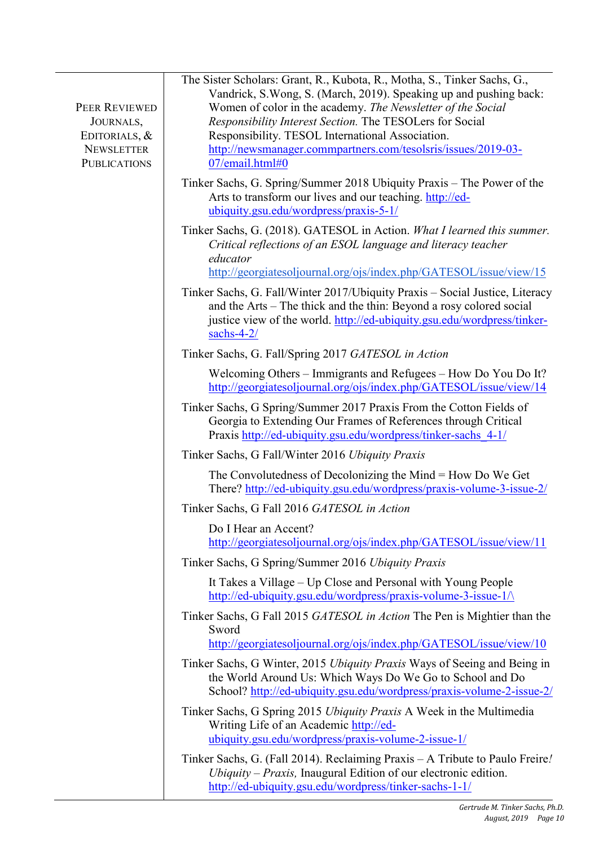| PEER REVIEWED<br>JOURNALS,<br>EDITORIALS, &<br><b>NEWSLETTER</b><br><b>PUBLICATIONS</b> | The Sister Scholars: Grant, R., Kubota, R., Motha, S., Tinker Sachs, G.,<br>Vandrick, S.Wong, S. (March, 2019). Speaking up and pushing back:<br>Women of color in the academy. The Newsletter of the Social<br>Responsibility Interest Section. The TESOLers for Social<br>Responsibility. TESOL International Association.<br>http://newsmanager.commpartners.com/tesolsris/issues/2019-03-<br>07/email.html#0 |
|-----------------------------------------------------------------------------------------|------------------------------------------------------------------------------------------------------------------------------------------------------------------------------------------------------------------------------------------------------------------------------------------------------------------------------------------------------------------------------------------------------------------|
|                                                                                         | Tinker Sachs, G. Spring/Summer 2018 Ubiquity Praxis – The Power of the<br>Arts to transform our lives and our teaching. http://ed-<br>ubiquity.gsu.edu/wordpress/praxis-5-1/                                                                                                                                                                                                                                     |
|                                                                                         | Tinker Sachs, G. (2018). GATESOL in Action. What I learned this summer.<br>Critical reflections of an ESOL language and literacy teacher<br>educator<br>http://georgiatesoljournal.org/ojs/index.php/GATESOL/issue/view/15                                                                                                                                                                                       |
|                                                                                         | Tinker Sachs, G. Fall/Winter 2017/Ubiquity Praxis - Social Justice, Literacy<br>and the Arts – The thick and the thin: Beyond a rosy colored social<br>justice view of the world. http://ed-ubiquity.gsu.edu/wordpress/tinker-<br>sachs- $4-2/$                                                                                                                                                                  |
|                                                                                         | Tinker Sachs, G. Fall/Spring 2017 GATESOL in Action                                                                                                                                                                                                                                                                                                                                                              |
|                                                                                         | Welcoming Others – Immigrants and Refugees – How Do You Do It?<br>http://georgiatesoljournal.org/ojs/index.php/GATESOL/issue/view/14                                                                                                                                                                                                                                                                             |
|                                                                                         | Tinker Sachs, G Spring/Summer 2017 Praxis From the Cotton Fields of<br>Georgia to Extending Our Frames of References through Critical<br>Praxis http://ed-ubiquity.gsu.edu/wordpress/tinker-sachs 4-1/                                                                                                                                                                                                           |
|                                                                                         | Tinker Sachs, G Fall/Winter 2016 Ubiquity Praxis                                                                                                                                                                                                                                                                                                                                                                 |
|                                                                                         | The Convolutedness of Decolonizing the Mind = How Do We Get<br>There? http://ed-ubiquity.gsu.edu/wordpress/praxis-volume-3-issue-2/                                                                                                                                                                                                                                                                              |
|                                                                                         | Tinker Sachs, G Fall 2016 GATESOL in Action                                                                                                                                                                                                                                                                                                                                                                      |
|                                                                                         | Do I Hear an Accent?<br>http://georgiatesoljournal.org/ojs/index.php/GATESOL/issue/view/11                                                                                                                                                                                                                                                                                                                       |
|                                                                                         | Tinker Sachs, G Spring/Summer 2016 Ubiquity Praxis                                                                                                                                                                                                                                                                                                                                                               |
|                                                                                         | It Takes a Village – Up Close and Personal with Young People<br>http://ed-ubiquity.gsu.edu/wordpress/praxis-volume-3-issue-1/                                                                                                                                                                                                                                                                                    |
|                                                                                         | Tinker Sachs, G Fall 2015 GATESOL in Action The Pen is Mightier than the<br>Sword<br>http://georgiatesoljournal.org/ojs/index.php/GATESOL/issue/view/10                                                                                                                                                                                                                                                          |
|                                                                                         | Tinker Sachs, G Winter, 2015 Ubiquity Praxis Ways of Seeing and Being in<br>the World Around Us: Which Ways Do We Go to School and Do<br>School? http://ed-ubiquity.gsu.edu/wordpress/praxis-volume-2-issue-2/                                                                                                                                                                                                   |
|                                                                                         | Tinker Sachs, G Spring 2015 Ubiquity Praxis A Week in the Multimedia<br>Writing Life of an Academic http://ed-<br>ubiquity.gsu.edu/wordpress/praxis-volume-2-issue-1/                                                                                                                                                                                                                                            |
|                                                                                         | Tinker Sachs, G. (Fall 2014). Reclaiming Praxis – A Tribute to Paulo Freire!<br>Ubiquity – Praxis, Inaugural Edition of our electronic edition.<br>http://ed-ubiquity.gsu.edu/wordpress/tinker-sachs-1-1/                                                                                                                                                                                                        |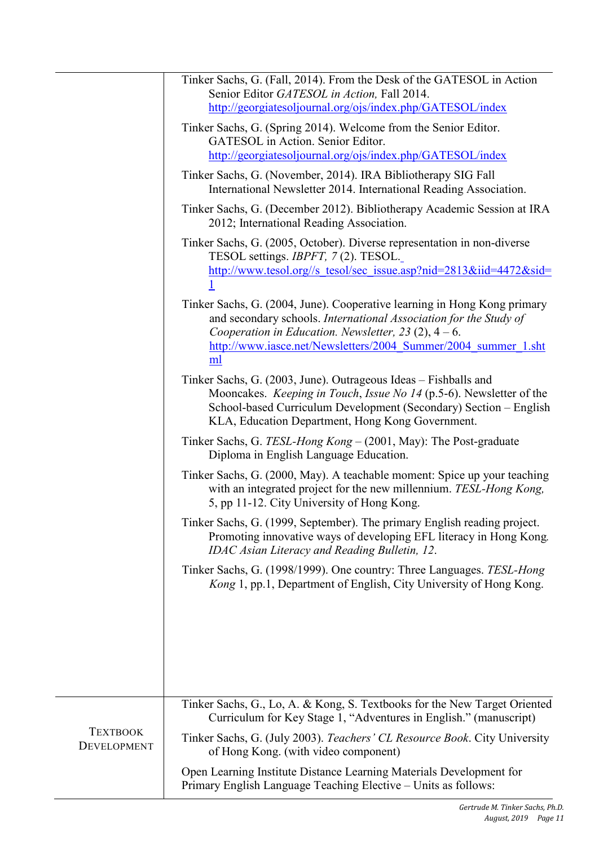|                                       | Tinker Sachs, G. (Fall, 2014). From the Desk of the GATESOL in Action<br>Senior Editor GATESOL in Action, Fall 2014.<br>http://georgiatesoljournal.org/ojs/index.php/GATESOL/index                                                                                               |
|---------------------------------------|----------------------------------------------------------------------------------------------------------------------------------------------------------------------------------------------------------------------------------------------------------------------------------|
|                                       | Tinker Sachs, G. (Spring 2014). Welcome from the Senior Editor.<br>GATESOL in Action. Senior Editor.                                                                                                                                                                             |
|                                       | http://georgiatesoljournal.org/ojs/index.php/GATESOL/index                                                                                                                                                                                                                       |
|                                       | Tinker Sachs, G. (November, 2014). IRA Bibliotherapy SIG Fall<br>International Newsletter 2014. International Reading Association.                                                                                                                                               |
|                                       | Tinker Sachs, G. (December 2012). Bibliotherapy Academic Session at IRA<br>2012; International Reading Association.                                                                                                                                                              |
|                                       | Tinker Sachs, G. (2005, October). Diverse representation in non-diverse<br>TESOL settings. <i>IBPFT</i> , 7(2). TESOL.<br>http://www.tesol.org//s tesol/sec issue.asp?nid=2813&iid=4472&sid=                                                                                     |
|                                       | Tinker Sachs, G. (2004, June). Cooperative learning in Hong Kong primary<br>and secondary schools. International Association for the Study of<br>Cooperation in Education. Newsletter, 23 $(2)$ , 4 – 6.<br>http://www.iasce.net/Newsletters/2004 Summer/2004 summer 1.sht<br>ml |
|                                       | Tinker Sachs, G. (2003, June). Outrageous Ideas – Fishballs and<br>Mooncakes. Keeping in Touch, Issue No 14 (p.5-6). Newsletter of the<br>School-based Curriculum Development (Secondary) Section – English<br>KLA, Education Department, Hong Kong Government.                  |
|                                       | Tinker Sachs, G. TESL-Hong Kong – (2001, May): The Post-graduate<br>Diploma in English Language Education.                                                                                                                                                                       |
|                                       | Tinker Sachs, G. (2000, May). A teachable moment: Spice up your teaching<br>with an integrated project for the new millennium. TESL-Hong Kong,<br>5, pp 11-12. City University of Hong Kong.                                                                                     |
|                                       | Tinker Sachs, G. (1999, September). The primary English reading project.<br>Promoting innovative ways of developing EFL literacy in Hong Kong.<br><b>IDAC Asian Literacy and Reading Bulletin, 12.</b>                                                                           |
|                                       | Tinker Sachs, G. (1998/1999). One country: Three Languages. TESL-Hong<br>Kong 1, pp.1, Department of English, City University of Hong Kong.                                                                                                                                      |
|                                       |                                                                                                                                                                                                                                                                                  |
|                                       | Tinker Sachs, G., Lo, A. & Kong, S. Textbooks for the New Target Oriented<br>Curriculum for Key Stage 1, "Adventures in English." (manuscript)                                                                                                                                   |
| <b>TEXTBOOK</b><br><b>DEVELOPMENT</b> | Tinker Sachs, G. (July 2003). Teachers' CL Resource Book. City University<br>of Hong Kong. (with video component)                                                                                                                                                                |
|                                       | Open Learning Institute Distance Learning Materials Development for<br>Primary English Language Teaching Elective - Units as follows:                                                                                                                                            |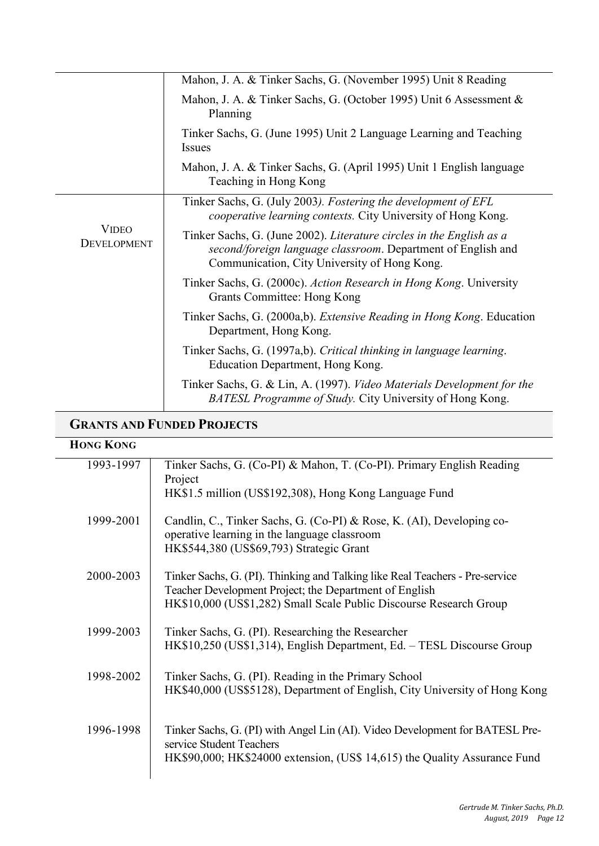|                                    | Mahon, J. A. & Tinker Sachs, G. (November 1995) Unit 8 Reading                                                                                                                       |
|------------------------------------|--------------------------------------------------------------------------------------------------------------------------------------------------------------------------------------|
|                                    | Mahon, J. A. & Tinker Sachs, G. (October 1995) Unit 6 Assessment &<br>Planning                                                                                                       |
|                                    | Tinker Sachs, G. (June 1995) Unit 2 Language Learning and Teaching<br><i>Issues</i>                                                                                                  |
|                                    | Mahon, J. A. & Tinker Sachs, G. (April 1995) Unit 1 English language<br>Teaching in Hong Kong                                                                                        |
| <b>VIDEO</b><br><b>DEVELOPMENT</b> | Tinker Sachs, G. (July 2003). Fostering the development of EFL<br>cooperative learning contexts. City University of Hong Kong.                                                       |
|                                    | Tinker Sachs, G. (June 2002). Literature circles in the English as a<br>second/foreign language classroom. Department of English and<br>Communication, City University of Hong Kong. |
|                                    | Tinker Sachs, G. (2000c). Action Research in Hong Kong. University<br>Grants Committee: Hong Kong                                                                                    |
|                                    | Tinker Sachs, G. (2000a,b). Extensive Reading in Hong Kong. Education<br>Department, Hong Kong.                                                                                      |
|                                    | Tinker Sachs, G. (1997a,b). Critical thinking in language learning.<br>Education Department, Hong Kong.                                                                              |
|                                    | Tinker Sachs, G. & Lin, A. (1997). Video Materials Development for the<br>BATESL Programme of Study. City University of Hong Kong.                                                   |

# **GRANTS AND FUNDED PROJECTS**

### **HONG KONG**

| 1993-1997 | Tinker Sachs, G. (Co-PI) & Mahon, T. (Co-PI). Primary English Reading<br>Project                                                                                                                             |
|-----------|--------------------------------------------------------------------------------------------------------------------------------------------------------------------------------------------------------------|
|           | HK\$1.5 million (US\$192,308), Hong Kong Language Fund                                                                                                                                                       |
| 1999-2001 | Candlin, C., Tinker Sachs, G. (Co-PI) & Rose, K. (AI), Developing co-<br>operative learning in the language classroom<br>HK\$544,380 (US\$69,793) Strategic Grant                                            |
| 2000-2003 | Tinker Sachs, G. (PI). Thinking and Talking like Real Teachers - Pre-service<br>Teacher Development Project; the Department of English<br>HK\$10,000 (US\$1,282) Small Scale Public Discourse Research Group |
| 1999-2003 | Tinker Sachs, G. (PI). Researching the Researcher<br>HK\$10,250 (US\$1,314), English Department, Ed. - TESL Discourse Group                                                                                  |
| 1998-2002 | Tinker Sachs, G. (PI). Reading in the Primary School<br>HK\$40,000 (US\$5128), Department of English, City University of Hong Kong                                                                           |
| 1996-1998 | Tinker Sachs, G. (PI) with Angel Lin (AI). Video Development for BATESL Pre-<br>service Student Teachers<br>HK\$90,000; HK\$24000 extension, (US\$ 14,615) the Quality Assurance Fund                        |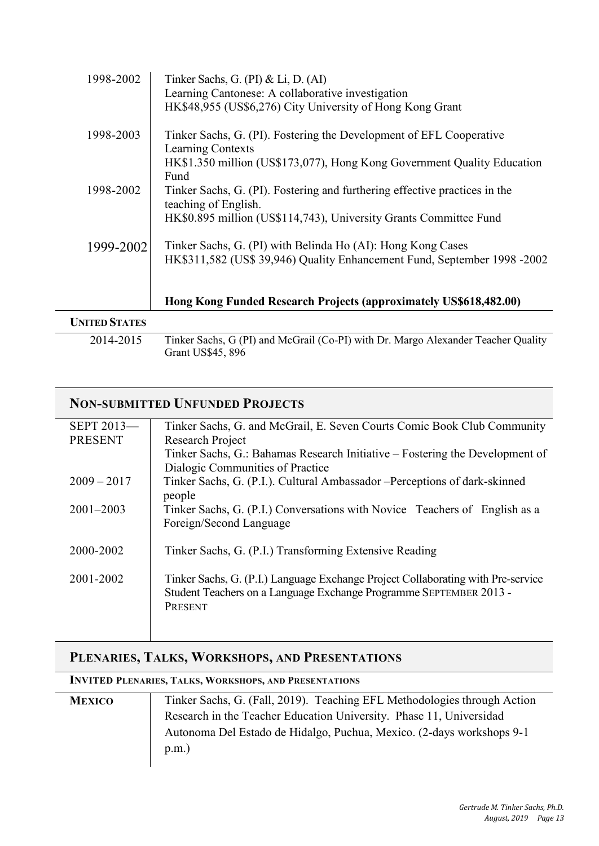| 1998-2002            | Tinker Sachs, G. (PI) & Li, D. (AI)                                                                |
|----------------------|----------------------------------------------------------------------------------------------------|
|                      | Learning Cantonese: A collaborative investigation                                                  |
|                      | HK\$48,955 (US\$6,276) City University of Hong Kong Grant                                          |
| 1998-2003            | Tinker Sachs, G. (PI). Fostering the Development of EFL Cooperative<br>Learning Contexts           |
|                      | HK\$1.350 million (US\$173,077), Hong Kong Government Quality Education<br>Fund                    |
| 1998-2002            | Tinker Sachs, G. (PI). Fostering and furthering effective practices in the<br>teaching of English. |
|                      | HK\$0.895 million (US\$114,743), University Grants Committee Fund                                  |
| 1999-2002            | Tinker Sachs, G. (PI) with Belinda Ho (AI): Hong Kong Cases                                        |
|                      | HK\$311,582 (US\$ 39,946) Quality Enhancement Fund, September 1998 -2002                           |
|                      | Hong Kong Funded Research Projects (approximately US\$618,482.00)                                  |
| <b>UNITED STATES</b> |                                                                                                    |

2014-2015 Tinker Sachs, G (PI) and McGrail (Co-PI) with Dr. Margo Alexander Teacher Quality Grant US\$45, 896

| <b>NON-SUBMITTED UNFUNDED PROJECTS</b> |                                                                                                                                                                   |  |
|----------------------------------------|-------------------------------------------------------------------------------------------------------------------------------------------------------------------|--|
| SEPT 2013-                             | Tinker Sachs, G. and McGrail, E. Seven Courts Comic Book Club Community                                                                                           |  |
| <b>PRESENT</b>                         | Research Project                                                                                                                                                  |  |
|                                        | Tinker Sachs, G.: Bahamas Research Initiative – Fostering the Development of                                                                                      |  |
|                                        | Dialogic Communities of Practice                                                                                                                                  |  |
| $2009 - 2017$                          | Tinker Sachs, G. (P.I.). Cultural Ambassador – Perceptions of dark-skinned<br>people                                                                              |  |
| $2001 - 2003$                          | Tinker Sachs, G. (P.I.) Conversations with Novice Teachers of English as a<br>Foreign/Second Language                                                             |  |
| 2000-2002                              | Tinker Sachs, G. (P.I.) Transforming Extensive Reading                                                                                                            |  |
| 2001-2002                              | Tinker Sachs, G. (P.I.) Language Exchange Project Collaborating with Pre-service<br>Student Teachers on a Language Exchange Programme SEPTEMBER 2013 -<br>PRESENT |  |

### **PLENARIES, TALKS, WORKSHOPS, AND PRESENTATIONS**

#### **INVITED PLENARIES, TALKS, WORKSHOPS, AND PRESENTATIONS**

| <b>MEXICO</b> | Tinker Sachs, G. (Fall, 2019). Teaching EFL Methodologies through Action |
|---------------|--------------------------------------------------------------------------|
|               | Research in the Teacher Education University. Phase 11, Universidad      |
|               | Autonoma Del Estado de Hidalgo, Puchua, Mexico. (2-days workshops 9-1    |
|               | p.m.)                                                                    |
|               |                                                                          |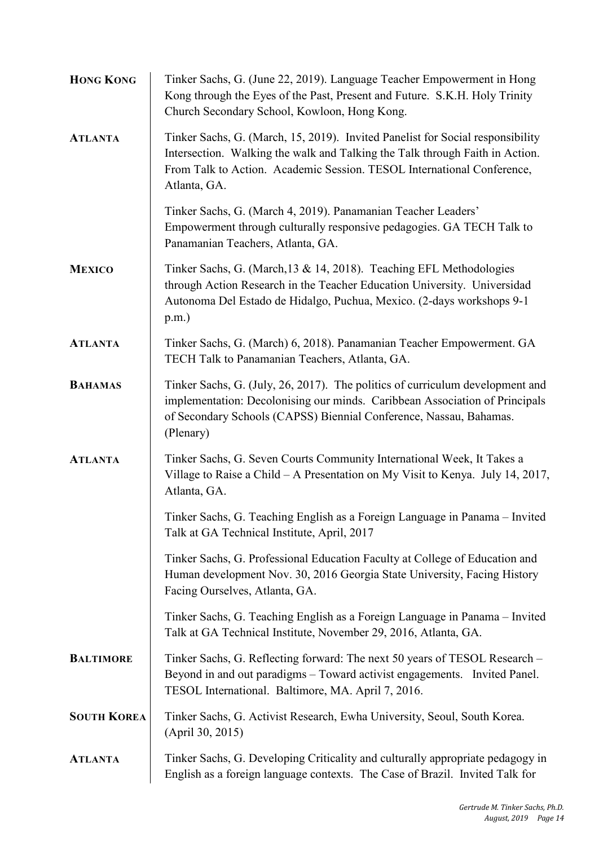| <b>HONG KONG</b>   | Tinker Sachs, G. (June 22, 2019). Language Teacher Empowerment in Hong<br>Kong through the Eyes of the Past, Present and Future. S.K.H. Holy Trinity<br>Church Secondary School, Kowloon, Hong Kong.                                                     |
|--------------------|----------------------------------------------------------------------------------------------------------------------------------------------------------------------------------------------------------------------------------------------------------|
| <b>ATLANTA</b>     | Tinker Sachs, G. (March, 15, 2019). Invited Panelist for Social responsibility<br>Intersection. Walking the walk and Talking the Talk through Faith in Action.<br>From Talk to Action. Academic Session. TESOL International Conference,<br>Atlanta, GA. |
|                    | Tinker Sachs, G. (March 4, 2019). Panamanian Teacher Leaders'<br>Empowerment through culturally responsive pedagogies. GA TECH Talk to<br>Panamanian Teachers, Atlanta, GA.                                                                              |
| <b>MEXICO</b>      | Tinker Sachs, G. (March, 13 & 14, 2018). Teaching EFL Methodologies<br>through Action Research in the Teacher Education University. Universidad<br>Autonoma Del Estado de Hidalgo, Puchua, Mexico. (2-days workshops 9-1<br>$p.m.$ )                     |
| <b>ATLANTA</b>     | Tinker Sachs, G. (March) 6, 2018). Panamanian Teacher Empowerment. GA<br>TECH Talk to Panamanian Teachers, Atlanta, GA.                                                                                                                                  |
| <b>BAHAMAS</b>     | Tinker Sachs, G. (July, 26, 2017). The politics of curriculum development and<br>implementation: Decolonising our minds. Caribbean Association of Principals<br>of Secondary Schools (CAPSS) Biennial Conference, Nassau, Bahamas.<br>(Plenary)          |
| <b>ATLANTA</b>     | Tinker Sachs, G. Seven Courts Community International Week, It Takes a<br>Village to Raise a Child - A Presentation on My Visit to Kenya. July 14, 2017,<br>Atlanta, GA.                                                                                 |
|                    | Tinker Sachs, G. Teaching English as a Foreign Language in Panama - Invited<br>Talk at GA Technical Institute, April, 2017                                                                                                                               |
|                    | Tinker Sachs, G. Professional Education Faculty at College of Education and<br>Human development Nov. 30, 2016 Georgia State University, Facing History<br>Facing Ourselves, Atlanta, GA.                                                                |
|                    | Tinker Sachs, G. Teaching English as a Foreign Language in Panama - Invited<br>Talk at GA Technical Institute, November 29, 2016, Atlanta, GA.                                                                                                           |
| <b>BALTIMORE</b>   | Tinker Sachs, G. Reflecting forward: The next 50 years of TESOL Research -<br>Beyond in and out paradigms - Toward activist engagements. Invited Panel.<br>TESOL International. Baltimore, MA. April 7, 2016.                                            |
| <b>SOUTH KOREA</b> | Tinker Sachs, G. Activist Research, Ewha University, Seoul, South Korea.<br>(April 30, 2015)                                                                                                                                                             |
| <b>ATLANTA</b>     | Tinker Sachs, G. Developing Criticality and culturally appropriate pedagogy in<br>English as a foreign language contexts. The Case of Brazil. Invited Talk for                                                                                           |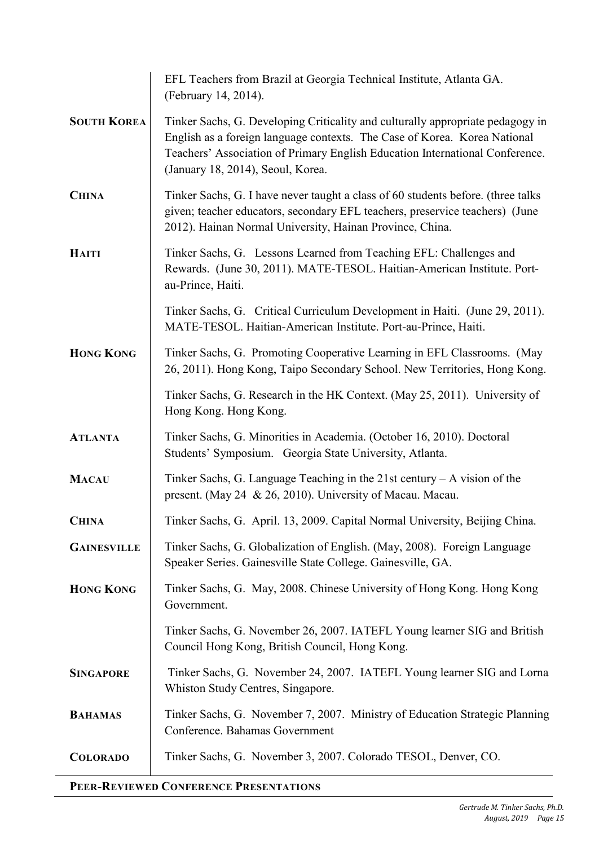|                    | EFL Teachers from Brazil at Georgia Technical Institute, Atlanta GA.<br>(February 14, 2014).                                                                                                                                                                                     |
|--------------------|----------------------------------------------------------------------------------------------------------------------------------------------------------------------------------------------------------------------------------------------------------------------------------|
| <b>SOUTH KOREA</b> | Tinker Sachs, G. Developing Criticality and culturally appropriate pedagogy in<br>English as a foreign language contexts. The Case of Korea. Korea National<br>Teachers' Association of Primary English Education International Conference.<br>(January 18, 2014), Seoul, Korea. |
| <b>CHINA</b>       | Tinker Sachs, G. I have never taught a class of 60 students before. (three talks<br>given; teacher educators, secondary EFL teachers, preservice teachers) (June<br>2012). Hainan Normal University, Hainan Province, China.                                                     |
| <b>HAITI</b>       | Tinker Sachs, G. Lessons Learned from Teaching EFL: Challenges and<br>Rewards. (June 30, 2011). MATE-TESOL. Haitian-American Institute. Port-<br>au-Prince, Haiti.                                                                                                               |
|                    | Tinker Sachs, G. Critical Curriculum Development in Haiti. (June 29, 2011).<br>MATE-TESOL. Haitian-American Institute. Port-au-Prince, Haiti.                                                                                                                                    |
| <b>HONG KONG</b>   | Tinker Sachs, G. Promoting Cooperative Learning in EFL Classrooms. (May<br>26, 2011). Hong Kong, Taipo Secondary School. New Territories, Hong Kong.                                                                                                                             |
|                    | Tinker Sachs, G. Research in the HK Context. (May 25, 2011). University of<br>Hong Kong. Hong Kong.                                                                                                                                                                              |
| <b>ATLANTA</b>     | Tinker Sachs, G. Minorities in Academia. (October 16, 2010). Doctoral<br>Students' Symposium. Georgia State University, Atlanta.                                                                                                                                                 |
| <b>MACAU</b>       | Tinker Sachs, G. Language Teaching in the $21st$ century $- A$ vision of the<br>present. (May 24 & 26, 2010). University of Macau. Macau.                                                                                                                                        |
| <b>CHINA</b>       | Tinker Sachs, G. April. 13, 2009. Capital Normal University, Beijing China.                                                                                                                                                                                                      |
| <b>GAINESVILLE</b> | Tinker Sachs, G. Globalization of English. (May, 2008). Foreign Language<br>Speaker Series. Gainesville State College. Gainesville, GA.                                                                                                                                          |
| <b>HONG KONG</b>   | Tinker Sachs, G. May, 2008. Chinese University of Hong Kong. Hong Kong<br>Government.                                                                                                                                                                                            |
|                    | Tinker Sachs, G. November 26, 2007. IATEFL Young learner SIG and British<br>Council Hong Kong, British Council, Hong Kong.                                                                                                                                                       |
| <b>SINGAPORE</b>   | Tinker Sachs, G. November 24, 2007. IATEFL Young learner SIG and Lorna<br>Whiston Study Centres, Singapore.                                                                                                                                                                      |
| <b>BAHAMAS</b>     | Tinker Sachs, G. November 7, 2007. Ministry of Education Strategic Planning<br>Conference. Bahamas Government                                                                                                                                                                    |
| <b>COLORADO</b>    | Tinker Sachs, G. November 3, 2007. Colorado TESOL, Denver, CO.                                                                                                                                                                                                                   |

### **PEER-REVIEWED CONFERENCE PRESENTATIONS**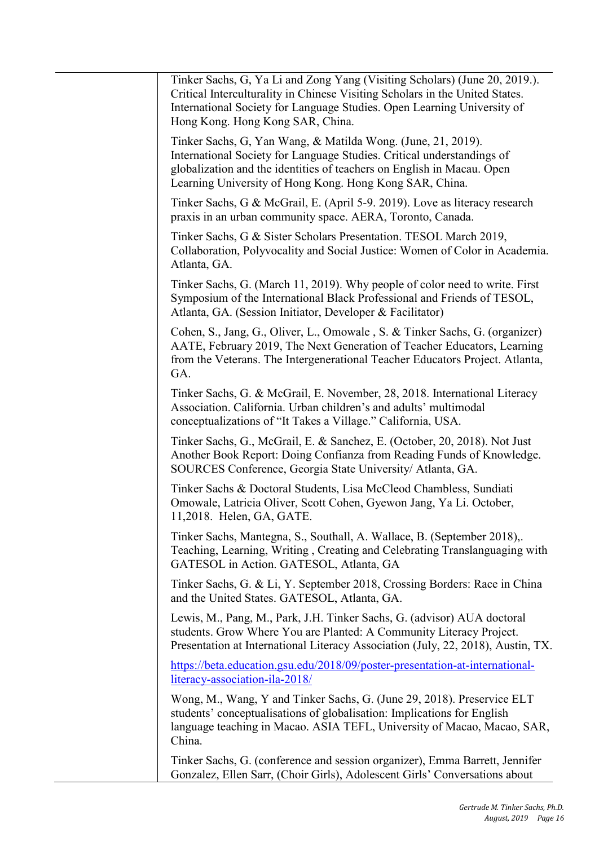| Tinker Sachs, G, Ya Li and Zong Yang (Visiting Scholars) (June 20, 2019.).<br>Critical Interculturality in Chinese Visiting Scholars in the United States.<br>International Society for Language Studies. Open Learning University of<br>Hong Kong. Hong Kong SAR, China.   |
|-----------------------------------------------------------------------------------------------------------------------------------------------------------------------------------------------------------------------------------------------------------------------------|
| Tinker Sachs, G, Yan Wang, & Matilda Wong. (June, 21, 2019).<br>International Society for Language Studies. Critical understandings of<br>globalization and the identities of teachers on English in Macau. Open<br>Learning University of Hong Kong. Hong Kong SAR, China. |
| Tinker Sachs, G & McGrail, E. (April 5-9. 2019). Love as literacy research<br>praxis in an urban community space. AERA, Toronto, Canada.                                                                                                                                    |
| Tinker Sachs, G & Sister Scholars Presentation. TESOL March 2019,<br>Collaboration, Polyvocality and Social Justice: Women of Color in Academia.<br>Atlanta, GA.                                                                                                            |
| Tinker Sachs, G. (March 11, 2019). Why people of color need to write. First<br>Symposium of the International Black Professional and Friends of TESOL,<br>Atlanta, GA. (Session Initiator, Developer & Facilitator)                                                         |
| Cohen, S., Jang, G., Oliver, L., Omowale, S. & Tinker Sachs, G. (organizer)<br>AATE, February 2019, The Next Generation of Teacher Educators, Learning<br>from the Veterans. The Intergenerational Teacher Educators Project. Atlanta,<br>GA.                               |
| Tinker Sachs, G. & McGrail, E. November, 28, 2018. International Literacy<br>Association. California. Urban children's and adults' multimodal<br>conceptualizations of "It Takes a Village." California, USA.                                                               |
| Tinker Sachs, G., McGrail, E. & Sanchez, E. (October, 20, 2018). Not Just<br>Another Book Report: Doing Confianza from Reading Funds of Knowledge.<br>SOURCES Conference, Georgia State University/ Atlanta, GA.                                                            |
| Tinker Sachs & Doctoral Students, Lisa McCleod Chambless, Sundiati<br>Omowale, Latricia Oliver, Scott Cohen, Gyewon Jang, Ya Li. October,<br>11,2018. Helen, GA, GATE                                                                                                       |
| Tinker Sachs, Mantegna, S., Southall, A. Wallace, B. (September 2018),.<br>Teaching, Learning, Writing, Creating and Celebrating Translanguaging with<br>GATESOL in Action. GATESOL, Atlanta, GA                                                                            |
| Tinker Sachs, G. & Li, Y. September 2018, Crossing Borders: Race in China<br>and the United States. GATESOL, Atlanta, GA.                                                                                                                                                   |
| Lewis, M., Pang, M., Park, J.H. Tinker Sachs, G. (advisor) AUA doctoral<br>students. Grow Where You are Planted: A Community Literacy Project.<br>Presentation at International Literacy Association (July, 22, 2018), Austin, TX.                                          |
| https://beta.education.gsu.edu/2018/09/poster-presentation-at-international-<br>literacy-association-ila-2018/                                                                                                                                                              |
| Wong, M., Wang, Y and Tinker Sachs, G. (June 29, 2018). Preservice ELT<br>students' conceptualisations of globalisation: Implications for English<br>language teaching in Macao. ASIA TEFL, University of Macao, Macao, SAR,<br>China.                                      |
| Tinker Sachs, G. (conference and session organizer), Emma Barrett, Jennifer<br>Gonzalez, Ellen Sarr, (Choir Girls), Adolescent Girls' Conversations about                                                                                                                   |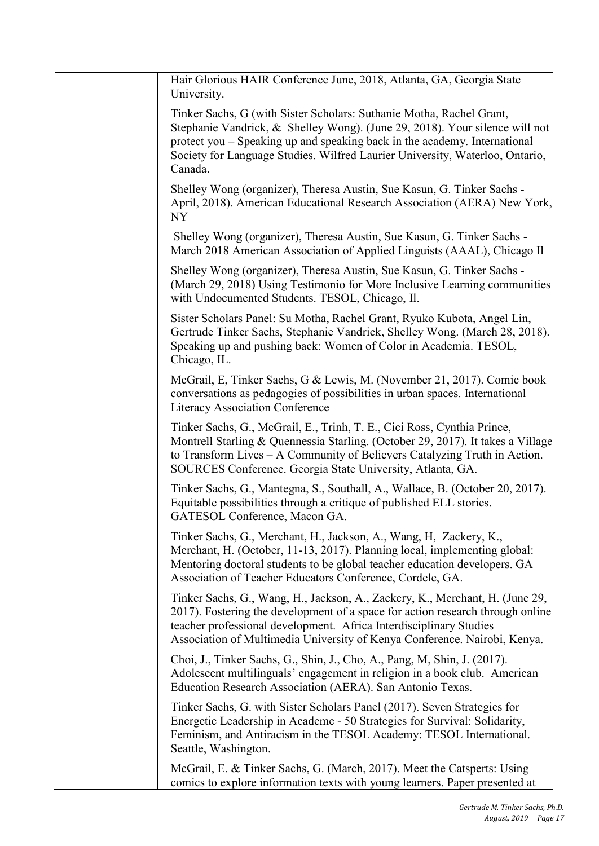| Hair Glorious HAIR Conference June, 2018, Atlanta, GA, Georgia State<br>University.                                                                                                                                                                                                                                         |
|-----------------------------------------------------------------------------------------------------------------------------------------------------------------------------------------------------------------------------------------------------------------------------------------------------------------------------|
| Tinker Sachs, G (with Sister Scholars: Suthanie Motha, Rachel Grant,<br>Stephanie Vandrick, & Shelley Wong). (June 29, 2018). Your silence will not<br>protect you – Speaking up and speaking back in the academy. International<br>Society for Language Studies. Wilfred Laurier University, Waterloo, Ontario,<br>Canada. |
| Shelley Wong (organizer), Theresa Austin, Sue Kasun, G. Tinker Sachs -<br>April, 2018). American Educational Research Association (AERA) New York,<br><b>NY</b>                                                                                                                                                             |
| Shelley Wong (organizer), Theresa Austin, Sue Kasun, G. Tinker Sachs -<br>March 2018 American Association of Applied Linguists (AAAL), Chicago Il                                                                                                                                                                           |
| Shelley Wong (organizer), Theresa Austin, Sue Kasun, G. Tinker Sachs -<br>(March 29, 2018) Using Testimonio for More Inclusive Learning communities<br>with Undocumented Students. TESOL, Chicago, Il.                                                                                                                      |
| Sister Scholars Panel: Su Motha, Rachel Grant, Ryuko Kubota, Angel Lin,<br>Gertrude Tinker Sachs, Stephanie Vandrick, Shelley Wong. (March 28, 2018).<br>Speaking up and pushing back: Women of Color in Academia. TESOL,<br>Chicago, IL.                                                                                   |
| McGrail, E, Tinker Sachs, G & Lewis, M. (November 21, 2017). Comic book<br>conversations as pedagogies of possibilities in urban spaces. International<br>Literacy Association Conference                                                                                                                                   |
| Tinker Sachs, G., McGrail, E., Trinh, T. E., Cici Ross, Cynthia Prince,<br>Montrell Starling & Quennessia Starling. (October 29, 2017). It takes a Village<br>to Transform Lives – A Community of Believers Catalyzing Truth in Action.<br>SOURCES Conference. Georgia State University, Atlanta, GA.                       |
| Tinker Sachs, G., Mantegna, S., Southall, A., Wallace, B. (October 20, 2017).<br>Equitable possibilities through a critique of published ELL stories.<br>GATESOL Conference, Macon GA.                                                                                                                                      |
| Tinker Sachs, G., Merchant, H., Jackson, A., Wang, H., Zackery, K.,<br>Merchant, H. (October, 11-13, 2017). Planning local, implementing global:<br>Mentoring doctoral students to be global teacher education developers. GA<br>Association of Teacher Educators Conference, Cordele, GA.                                  |
| Tinker Sachs, G., Wang, H., Jackson, A., Zackery, K., Merchant, H. (June 29,<br>2017). Fostering the development of a space for action research through online<br>teacher professional development. Africa Interdisciplinary Studies<br>Association of Multimedia University of Kenya Conference. Nairobi, Kenya.           |
| Choi, J., Tinker Sachs, G., Shin, J., Cho, A., Pang, M, Shin, J. (2017).<br>Adolescent multilinguals' engagement in religion in a book club. American<br>Education Research Association (AERA). San Antonio Texas.                                                                                                          |
| Tinker Sachs, G. with Sister Scholars Panel (2017). Seven Strategies for<br>Energetic Leadership in Academe - 50 Strategies for Survival: Solidarity,<br>Feminism, and Antiracism in the TESOL Academy: TESOL International.<br>Seattle, Washington.                                                                        |
| McGrail, E. & Tinker Sachs, G. (March, 2017). Meet the Catsperts: Using<br>comics to explore information texts with young learners. Paper presented at                                                                                                                                                                      |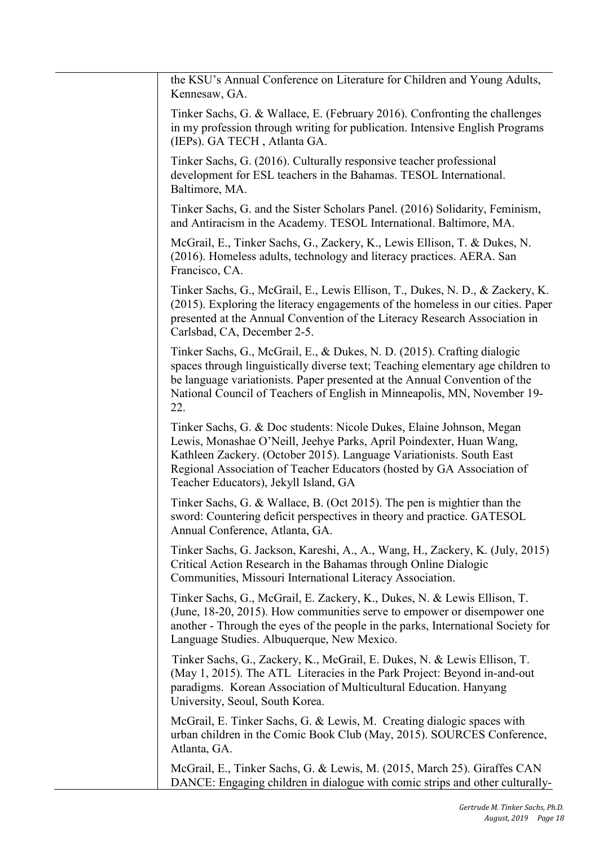| the KSU's Annual Conference on Literature for Children and Young Adults,<br>Kennesaw, GA.                                                                                                                                                                                                                                              |
|----------------------------------------------------------------------------------------------------------------------------------------------------------------------------------------------------------------------------------------------------------------------------------------------------------------------------------------|
| Tinker Sachs, G. & Wallace, E. (February 2016). Confronting the challenges<br>in my profession through writing for publication. Intensive English Programs<br>(IEPs). GA TECH, Atlanta GA.                                                                                                                                             |
| Tinker Sachs, G. (2016). Culturally responsive teacher professional<br>development for ESL teachers in the Bahamas. TESOL International.<br>Baltimore, MA.                                                                                                                                                                             |
| Tinker Sachs, G. and the Sister Scholars Panel. (2016) Solidarity, Feminism,<br>and Antiracism in the Academy. TESOL International. Baltimore, MA.                                                                                                                                                                                     |
| McGrail, E., Tinker Sachs, G., Zackery, K., Lewis Ellison, T. & Dukes, N.<br>(2016). Homeless adults, technology and literacy practices. AERA. San<br>Francisco, CA.                                                                                                                                                                   |
| Tinker Sachs, G., McGrail, E., Lewis Ellison, T., Dukes, N. D., & Zackery, K.<br>(2015). Exploring the literacy engagements of the homeless in our cities. Paper<br>presented at the Annual Convention of the Literacy Research Association in<br>Carlsbad, CA, December 2-5.                                                          |
| Tinker Sachs, G., McGrail, E., & Dukes, N. D. (2015). Crafting dialogic<br>spaces through linguistically diverse text; Teaching elementary age children to<br>be language variationists. Paper presented at the Annual Convention of the<br>National Council of Teachers of English in Minneapolis, MN, November 19-<br>22.            |
| Tinker Sachs, G. & Doc students: Nicole Dukes, Elaine Johnson, Megan<br>Lewis, Monashae O'Neill, Jeehye Parks, April Poindexter, Huan Wang,<br>Kathleen Zackery. (October 2015). Language Variationists. South East<br>Regional Association of Teacher Educators (hosted by GA Association of<br>Teacher Educators), Jekyll Island, GA |
| Tinker Sachs, G. & Wallace, B. (Oct 2015). The pen is mightier than the<br>sword: Countering deficit perspectives in theory and practice. GATESOL<br>Annual Conference, Atlanta, GA.                                                                                                                                                   |
| Tinker Sachs, G. Jackson, Kareshi, A., A., Wang, H., Zackery, K. (July, 2015)<br>Critical Action Research in the Bahamas through Online Dialogic<br>Communities, Missouri International Literacy Association.                                                                                                                          |
| Tinker Sachs, G., McGrail, E. Zackery, K., Dukes, N. & Lewis Ellison, T.<br>(June, 18-20, 2015). How communities serve to empower or disempower one<br>another - Through the eyes of the people in the parks, International Society for<br>Language Studies. Albuquerque, New Mexico.                                                  |
| Tinker Sachs, G., Zackery, K., McGrail, E. Dukes, N. & Lewis Ellison, T.<br>(May 1, 2015). The ATL Literacies in the Park Project: Beyond in-and-out<br>paradigms. Korean Association of Multicultural Education. Hanyang<br>University, Seoul, South Korea.                                                                           |
| McGrail, E. Tinker Sachs, G. & Lewis, M. Creating dialogic spaces with<br>urban children in the Comic Book Club (May, 2015). SOURCES Conference,<br>Atlanta, GA.                                                                                                                                                                       |
| McGrail, E., Tinker Sachs, G. & Lewis, M. (2015, March 25). Giraffes CAN<br>DANCE: Engaging children in dialogue with comic strips and other culturally-                                                                                                                                                                               |

i.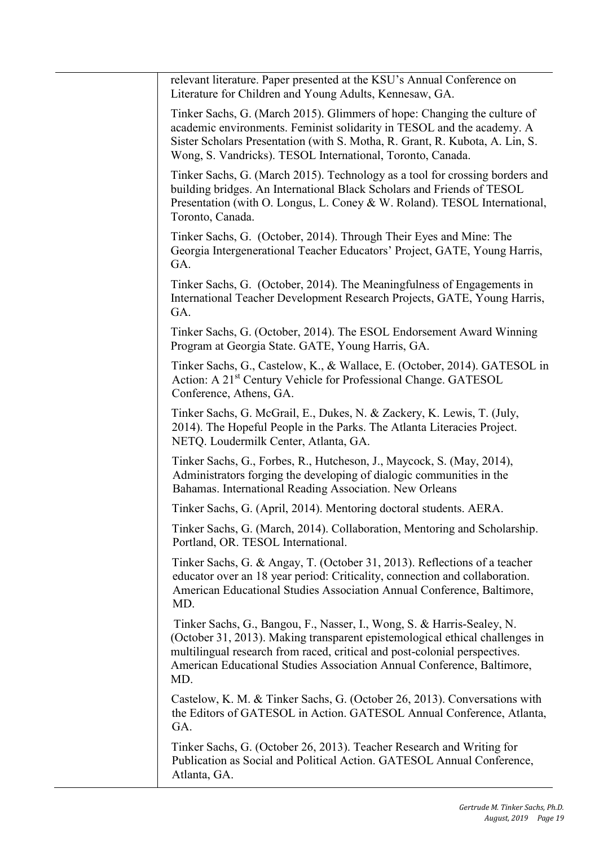| relevant literature. Paper presented at the KSU's Annual Conference on<br>Literature for Children and Young Adults, Kennesaw, GA.                                                                                                                                                                                     |
|-----------------------------------------------------------------------------------------------------------------------------------------------------------------------------------------------------------------------------------------------------------------------------------------------------------------------|
| Tinker Sachs, G. (March 2015). Glimmers of hope: Changing the culture of<br>academic environments. Feminist solidarity in TESOL and the academy. A<br>Sister Scholars Presentation (with S. Motha, R. Grant, R. Kubota, A. Lin, S.<br>Wong, S. Vandricks). TESOL International, Toronto, Canada.                      |
| Tinker Sachs, G. (March 2015). Technology as a tool for crossing borders and<br>building bridges. An International Black Scholars and Friends of TESOL<br>Presentation (with O. Longus, L. Coney & W. Roland). TESOL International,<br>Toronto, Canada.                                                               |
| Tinker Sachs, G. (October, 2014). Through Their Eyes and Mine: The<br>Georgia Intergenerational Teacher Educators' Project, GATE, Young Harris,<br>GA.                                                                                                                                                                |
| Tinker Sachs, G. (October, 2014). The Meaningfulness of Engagements in<br>International Teacher Development Research Projects, GATE, Young Harris,<br>GA.                                                                                                                                                             |
| Tinker Sachs, G. (October, 2014). The ESOL Endorsement Award Winning<br>Program at Georgia State. GATE, Young Harris, GA.                                                                                                                                                                                             |
| Tinker Sachs, G., Castelow, K., & Wallace, E. (October, 2014). GATESOL in<br>Action: A 21 <sup>st</sup> Century Vehicle for Professional Change. GATESOL<br>Conference, Athens, GA.                                                                                                                                   |
| Tinker Sachs, G. McGrail, E., Dukes, N. & Zackery, K. Lewis, T. (July,<br>2014). The Hopeful People in the Parks. The Atlanta Literacies Project.<br>NETQ. Loudermilk Center, Atlanta, GA.                                                                                                                            |
| Tinker Sachs, G., Forbes, R., Hutcheson, J., Maycock, S. (May, 2014),<br>Administrators forging the developing of dialogic communities in the<br>Bahamas. International Reading Association. New Orleans                                                                                                              |
| Tinker Sachs, G. (April, 2014). Mentoring doctoral students. AERA.                                                                                                                                                                                                                                                    |
| Tinker Sachs, G. (March, 2014). Collaboration, Mentoring and Scholarship.<br>Portland, OR. TESOL International.                                                                                                                                                                                                       |
| Tinker Sachs, G. & Angay, T. (October 31, 2013). Reflections of a teacher<br>educator over an 18 year period: Criticality, connection and collaboration.<br>American Educational Studies Association Annual Conference, Baltimore,<br>MD.                                                                             |
| Tinker Sachs, G., Bangou, F., Nasser, I., Wong, S. & Harris-Sealey, N.<br>(October 31, 2013). Making transparent epistemological ethical challenges in<br>multilingual research from raced, critical and post-colonial perspectives.<br>American Educational Studies Association Annual Conference, Baltimore,<br>MD. |
| Castelow, K. M. & Tinker Sachs, G. (October 26, 2013). Conversations with<br>the Editors of GATESOL in Action. GATESOL Annual Conference, Atlanta,<br>GA.                                                                                                                                                             |
| Tinker Sachs, G. (October 26, 2013). Teacher Research and Writing for<br>Publication as Social and Political Action. GATESOL Annual Conference,<br>Atlanta, GA.                                                                                                                                                       |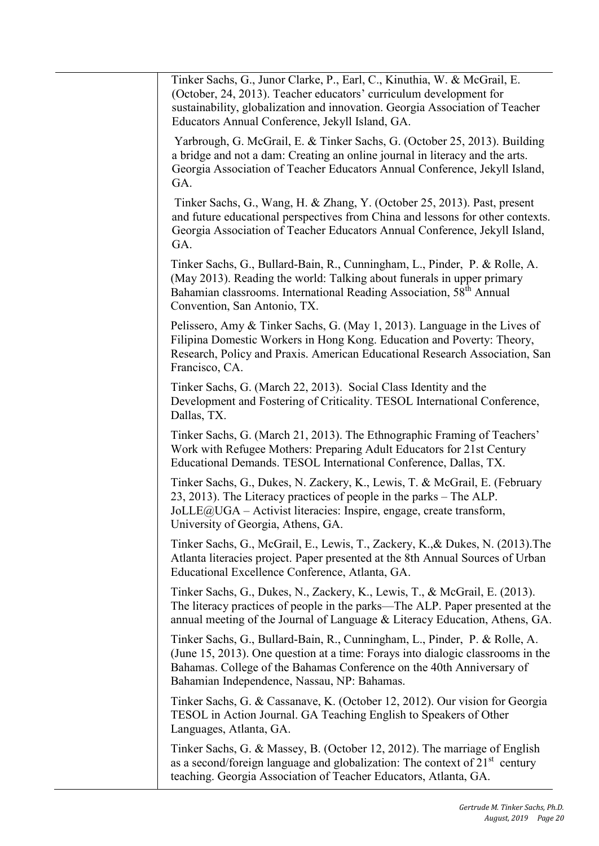| Tinker Sachs, G., Junor Clarke, P., Earl, C., Kinuthia, W. & McGrail, E.<br>(October, 24, 2013). Teacher educators' curriculum development for<br>sustainability, globalization and innovation. Georgia Association of Teacher<br>Educators Annual Conference, Jekyll Island, GA.     |
|---------------------------------------------------------------------------------------------------------------------------------------------------------------------------------------------------------------------------------------------------------------------------------------|
| Yarbrough, G. McGrail, E. & Tinker Sachs, G. (October 25, 2013). Building<br>a bridge and not a dam: Creating an online journal in literacy and the arts.<br>Georgia Association of Teacher Educators Annual Conference, Jekyll Island,<br>GA.                                        |
| Tinker Sachs, G., Wang, H. & Zhang, Y. (October 25, 2013). Past, present<br>and future educational perspectives from China and lessons for other contexts.<br>Georgia Association of Teacher Educators Annual Conference, Jekyll Island,<br>GA.                                       |
| Tinker Sachs, G., Bullard-Bain, R., Cunningham, L., Pinder, P. & Rolle, A.<br>(May 2013). Reading the world: Talking about funerals in upper primary<br>Bahamian classrooms. International Reading Association, 58 <sup>th</sup> Annual<br>Convention, San Antonio, TX.               |
| Pelissero, Amy & Tinker Sachs, G. (May 1, 2013). Language in the Lives of<br>Filipina Domestic Workers in Hong Kong. Education and Poverty: Theory,<br>Research, Policy and Praxis. American Educational Research Association, San<br>Francisco, CA.                                  |
| Tinker Sachs, G. (March 22, 2013). Social Class Identity and the<br>Development and Fostering of Criticality. TESOL International Conference,<br>Dallas, TX.                                                                                                                          |
| Tinker Sachs, G. (March 21, 2013). The Ethnographic Framing of Teachers'<br>Work with Refugee Mothers: Preparing Adult Educators for 21st Century<br>Educational Demands. TESOL International Conference, Dallas, TX.                                                                 |
| Tinker Sachs, G., Dukes, N. Zackery, K., Lewis, T. & McGrail, E. (February<br>23, 2013). The Literacy practices of people in the parks – The ALP.<br>JoLLE@UGA - Activist literacies: Inspire, engage, create transform,<br>University of Georgia, Athens, GA.                        |
| Tinker Sachs, G., McGrail, E., Lewis, T., Zackery, K., & Dukes, N. (2013). The<br>Atlanta literacies project. Paper presented at the 8th Annual Sources of Urban<br>Educational Excellence Conference, Atlanta, GA.                                                                   |
| Tinker Sachs, G., Dukes, N., Zackery, K., Lewis, T., & McGrail, E. (2013).<br>The literacy practices of people in the parks-The ALP. Paper presented at the<br>annual meeting of the Journal of Language & Literacy Education, Athens, GA.                                            |
| Tinker Sachs, G., Bullard-Bain, R., Cunningham, L., Pinder, P. & Rolle, A.<br>(June 15, 2013). One question at a time: Forays into dialogic classrooms in the<br>Bahamas. College of the Bahamas Conference on the 40th Anniversary of<br>Bahamian Independence, Nassau, NP: Bahamas. |
| Tinker Sachs, G. & Cassanave, K. (October 12, 2012). Our vision for Georgia<br>TESOL in Action Journal. GA Teaching English to Speakers of Other<br>Languages, Atlanta, GA.                                                                                                           |
| Tinker Sachs, G. & Massey, B. (October 12, 2012). The marriage of English<br>as a second/foreign language and globalization: The context of $21st$ century<br>teaching. Georgia Association of Teacher Educators, Atlanta, GA.                                                        |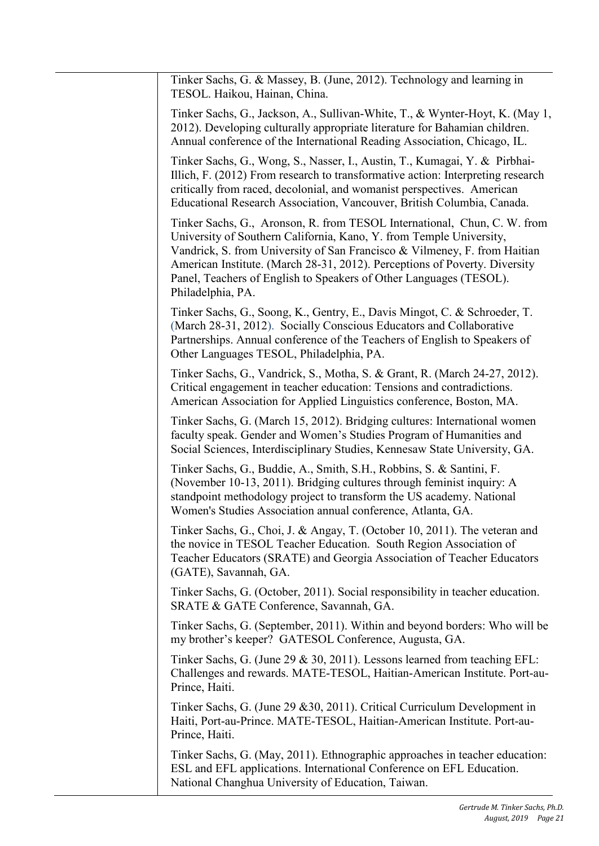| Tinker Sachs, G. & Massey, B. (June, 2012). Technology and learning in<br>TESOL. Haikou, Hainan, China.                                                                                                                                                                                                                                                                                               |
|-------------------------------------------------------------------------------------------------------------------------------------------------------------------------------------------------------------------------------------------------------------------------------------------------------------------------------------------------------------------------------------------------------|
| Tinker Sachs, G., Jackson, A., Sullivan-White, T., & Wynter-Hoyt, K. (May 1,<br>2012). Developing culturally appropriate literature for Bahamian children.<br>Annual conference of the International Reading Association, Chicago, IL.                                                                                                                                                                |
| Tinker Sachs, G., Wong, S., Nasser, I., Austin, T., Kumagai, Y. & Pirbhai-<br>Illich, F. (2012) From research to transformative action: Interpreting research<br>critically from raced, decolonial, and womanist perspectives. American<br>Educational Research Association, Vancouver, British Columbia, Canada.                                                                                     |
| Tinker Sachs, G., Aronson, R. from TESOL International, Chun, C. W. from<br>University of Southern California, Kano, Y. from Temple University,<br>Vandrick, S. from University of San Francisco & Vilmeney, F. from Haitian<br>American Institute. (March 28-31, 2012). Perceptions of Poverty. Diversity<br>Panel, Teachers of English to Speakers of Other Languages (TESOL).<br>Philadelphia, PA. |
| Tinker Sachs, G., Soong, K., Gentry, E., Davis Mingot, C. & Schroeder, T.<br>(March 28-31, 2012). Socially Conscious Educators and Collaborative<br>Partnerships. Annual conference of the Teachers of English to Speakers of<br>Other Languages TESOL, Philadelphia, PA.                                                                                                                             |
| Tinker Sachs, G., Vandrick, S., Motha, S. & Grant, R. (March 24-27, 2012).<br>Critical engagement in teacher education: Tensions and contradictions.<br>American Association for Applied Linguistics conference, Boston, MA.                                                                                                                                                                          |
| Tinker Sachs, G. (March 15, 2012). Bridging cultures: International women<br>faculty speak. Gender and Women's Studies Program of Humanities and<br>Social Sciences, Interdisciplinary Studies, Kennesaw State University, GA.                                                                                                                                                                        |
| Tinker Sachs, G., Buddie, A., Smith, S.H., Robbins, S. & Santini, F.<br>(November 10-13, 2011). Bridging cultures through feminist inquiry: A<br>standpoint methodology project to transform the US academy. National<br>Women's Studies Association annual conference, Atlanta, GA.                                                                                                                  |
| Tinker Sachs, G., Choi, J. & Angay, T. (October 10, 2011). The veteran and<br>the novice in TESOL Teacher Education. South Region Association of<br>Teacher Educators (SRATE) and Georgia Association of Teacher Educators<br>(GATE), Savannah, GA.                                                                                                                                                   |
| Tinker Sachs, G. (October, 2011). Social responsibility in teacher education.<br>SRATE & GATE Conference, Savannah, GA.                                                                                                                                                                                                                                                                               |
| Tinker Sachs, G. (September, 2011). Within and beyond borders: Who will be<br>my brother's keeper? GATESOL Conference, Augusta, GA.                                                                                                                                                                                                                                                                   |
| Tinker Sachs, G. (June 29 & 30, 2011). Lessons learned from teaching EFL:<br>Challenges and rewards. MATE-TESOL, Haitian-American Institute. Port-au-<br>Prince, Haiti.                                                                                                                                                                                                                               |
| Tinker Sachs, G. (June 29 & 30, 2011). Critical Curriculum Development in<br>Haiti, Port-au-Prince. MATE-TESOL, Haitian-American Institute. Port-au-<br>Prince, Haiti.                                                                                                                                                                                                                                |
| Tinker Sachs, G. (May, 2011). Ethnographic approaches in teacher education:<br>ESL and EFL applications. International Conference on EFL Education.<br>National Changhua University of Education, Taiwan.                                                                                                                                                                                             |
|                                                                                                                                                                                                                                                                                                                                                                                                       |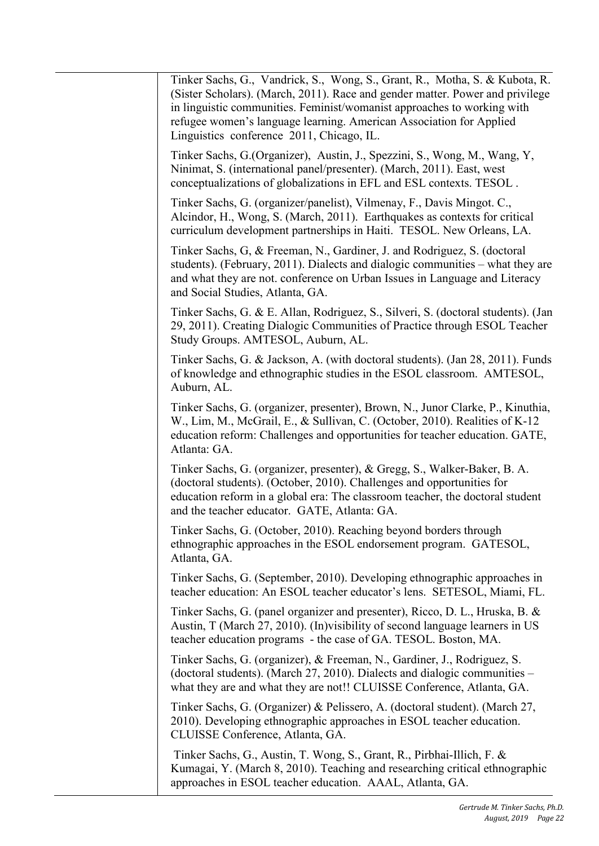Linguistics conference 2011, Chicago, IL. students). (February, 2011). Dialects and dialogic communities – what they are and the teacher educator. GATE, Atlanta: GA. teacher education programs - the case of GA. TESOL. Boston, MA. what they are and what they are not!! CLUISSE Conference, Atlanta, GA. CLUISSE Conference, Atlanta, GA. Tinker Sachs, G., Vandrick, S., Wong, S., Grant, R., Motha, S. & Kubota, R. (Sister Scholars). (March, 2011). Race and gender matter. Power and privilege in linguistic communities. Feminist/womanist approaches to working with refugee women's language learning. American Association for Applied Tinker Sachs, G.(Organizer), Austin, J., Spezzini, S., Wong, M., Wang, Y, Ninimat, S. (international panel/presenter). (March, 2011). East, west conceptualizations of globalizations in EFL and ESL contexts. TESOL . Tinker Sachs, G. (organizer/panelist), Vilmenay, F., Davis Mingot. C., Alcindor, H., Wong, S. (March, 2011). Earthquakes as contexts for critical curriculum development partnerships in Haiti. TESOL. New Orleans, LA. Tinker Sachs, G, & Freeman, N., Gardiner, J. and Rodriguez, S. (doctoral and what they are not. conference on Urban Issues in Language and Literacy and Social Studies, Atlanta, GA. Tinker Sachs, G. & E. Allan, Rodriguez, S., Silveri, S. (doctoral students). (Jan 29, 2011). Creating Dialogic Communities of Practice through ESOL Teacher Study Groups. AMTESOL, Auburn, AL. Tinker Sachs, G. & Jackson, A. (with doctoral students). (Jan 28, 2011). Funds of knowledge and ethnographic studies in the ESOL classroom. AMTESOL, Auburn, AL. Tinker Sachs, G. (organizer, presenter), Brown, N., Junor Clarke, P., Kinuthia, W., Lim, M., McGrail, E., & Sullivan, C. (October, 2010). Realities of K-12 education reform: Challenges and opportunities for teacher education. GATE, Atlanta: GA. Tinker Sachs, G. (organizer, presenter), & Gregg, S., Walker-Baker, B. A. (doctoral students). (October, 2010). Challenges and opportunities for education reform in a global era: The classroom teacher, the doctoral student Tinker Sachs, G. (October, 2010). Reaching beyond borders through ethnographic approaches in the ESOL endorsement program. GATESOL, Atlanta, GA. Tinker Sachs, G. (September, 2010). Developing ethnographic approaches in teacher education: An ESOL teacher educator's lens. SETESOL, Miami, FL. Tinker Sachs, G. (panel organizer and presenter), Ricco, D. L., Hruska, B. & Austin, T (March 27, 2010). (In)visibility of second language learners in US Tinker Sachs, G. (organizer), & Freeman, N., Gardiner, J., Rodriguez, S. (doctoral students). (March 27, 2010). Dialects and dialogic communities – Tinker Sachs, G. (Organizer) & Pelissero, A. (doctoral student). (March 27, 2010). Developing ethnographic approaches in ESOL teacher education. Tinker Sachs, G., Austin, T. Wong, S., Grant, R., Pirbhai-Illich, F. & Kumagai, Y. (March 8, 2010). Teaching and researching critical ethnographic approaches in ESOL teacher education. AAAL, Atlanta, GA.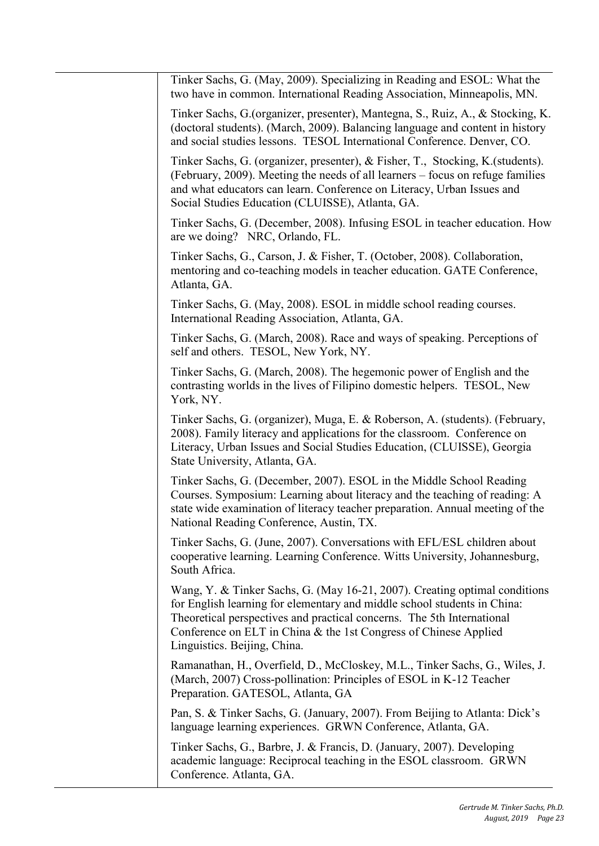| Tinker Sachs, G. (May, 2009). Specializing in Reading and ESOL: What the<br>two have in common. International Reading Association, Minneapolis, MN.                                                                                                                                                                                  |
|--------------------------------------------------------------------------------------------------------------------------------------------------------------------------------------------------------------------------------------------------------------------------------------------------------------------------------------|
| Tinker Sachs, G. (organizer, presenter), Mantegna, S., Ruiz, A., & Stocking, K.<br>(doctoral students). (March, 2009). Balancing language and content in history<br>and social studies lessons. TESOL International Conference. Denver, CO.                                                                                          |
| Tinker Sachs, G. (organizer, presenter), & Fisher, T., Stocking, K. (students).<br>(February, 2009). Meeting the needs of all learners – focus on refuge families<br>and what educators can learn. Conference on Literacy, Urban Issues and<br>Social Studies Education (CLUISSE), Atlanta, GA.                                      |
| Tinker Sachs, G. (December, 2008). Infusing ESOL in teacher education. How<br>are we doing? NRC, Orlando, FL.                                                                                                                                                                                                                        |
| Tinker Sachs, G., Carson, J. & Fisher, T. (October, 2008). Collaboration,<br>mentoring and co-teaching models in teacher education. GATE Conference,<br>Atlanta, GA.                                                                                                                                                                 |
| Tinker Sachs, G. (May, 2008). ESOL in middle school reading courses.<br>International Reading Association, Atlanta, GA.                                                                                                                                                                                                              |
| Tinker Sachs, G. (March, 2008). Race and ways of speaking. Perceptions of<br>self and others. TESOL, New York, NY.                                                                                                                                                                                                                   |
| Tinker Sachs, G. (March, 2008). The hegemonic power of English and the<br>contrasting worlds in the lives of Filipino domestic helpers. TESOL, New<br>York, NY.                                                                                                                                                                      |
| Tinker Sachs, G. (organizer), Muga, E. & Roberson, A. (students). (February,<br>2008). Family literacy and applications for the classroom. Conference on<br>Literacy, Urban Issues and Social Studies Education, (CLUISSE), Georgia<br>State University, Atlanta, GA.                                                                |
| Tinker Sachs, G. (December, 2007). ESOL in the Middle School Reading<br>Courses. Symposium: Learning about literacy and the teaching of reading: A<br>state wide examination of literacy teacher preparation. Annual meeting of the<br>National Reading Conference, Austin, TX.                                                      |
| Tinker Sachs, G. (June, 2007). Conversations with EFL/ESL children about<br>cooperative learning. Learning Conference. Witts University, Johannesburg,<br>South Africa.                                                                                                                                                              |
| Wang, Y. & Tinker Sachs, G. (May 16-21, 2007). Creating optimal conditions<br>for English learning for elementary and middle school students in China:<br>Theoretical perspectives and practical concerns. The 5th International<br>Conference on ELT in China & the 1st Congress of Chinese Applied<br>Linguistics. Beijing, China. |
| Ramanathan, H., Overfield, D., McCloskey, M.L., Tinker Sachs, G., Wiles, J.<br>(March, 2007) Cross-pollination: Principles of ESOL in K-12 Teacher<br>Preparation. GATESOL, Atlanta, GA                                                                                                                                              |
| Pan, S. & Tinker Sachs, G. (January, 2007). From Beijing to Atlanta: Dick's<br>language learning experiences. GRWN Conference, Atlanta, GA.                                                                                                                                                                                          |
| Tinker Sachs, G., Barbre, J. & Francis, D. (January, 2007). Developing<br>academic language: Reciprocal teaching in the ESOL classroom. GRWN<br>Conference. Atlanta, GA.                                                                                                                                                             |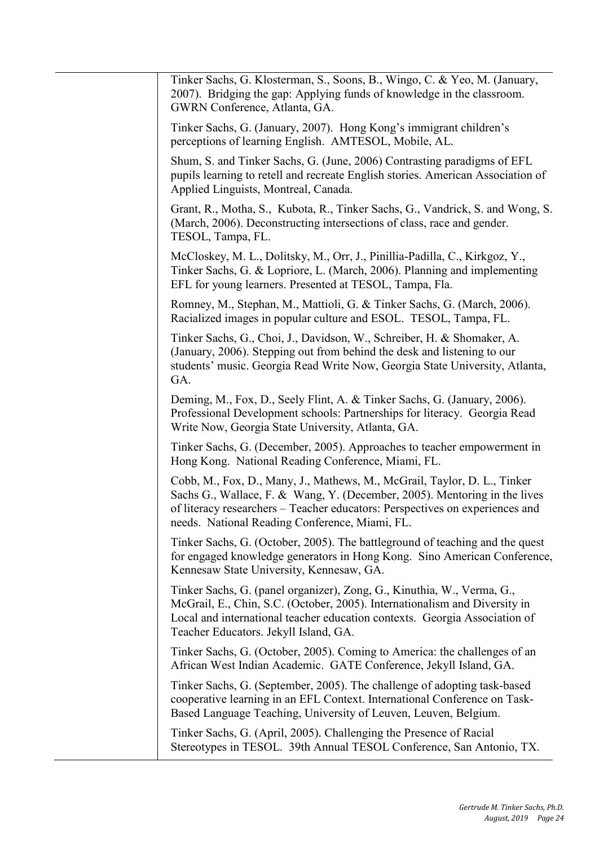| Tinker Sachs, G. Klosterman, S., Soons, B., Wingo, C. & Yeo, M. (January,<br>2007). Bridging the gap: Applying funds of knowledge in the classroom.<br>GWRN Conference, Atlanta, GA.                                                                                                    |
|-----------------------------------------------------------------------------------------------------------------------------------------------------------------------------------------------------------------------------------------------------------------------------------------|
| Tinker Sachs, G. (January, 2007). Hong Kong's immigrant children's<br>perceptions of learning English. AMTESOL, Mobile, AL.                                                                                                                                                             |
| Shum, S. and Tinker Sachs, G. (June, 2006) Contrasting paradigms of EFL<br>pupils learning to retell and recreate English stories. American Association of<br>Applied Linguists, Montreal, Canada.                                                                                      |
| Grant, R., Motha, S., Kubota, R., Tinker Sachs, G., Vandrick, S. and Wong, S.<br>(March, 2006). Deconstructing intersections of class, race and gender.<br>TESOL, Tampa, FL.                                                                                                            |
| McCloskey, M. L., Dolitsky, M., Orr, J., Pinillia-Padilla, C., Kirkgoz, Y.,<br>Tinker Sachs, G. & Lopriore, L. (March, 2006). Planning and implementing<br>EFL for young learners. Presented at TESOL, Tampa, Fla.                                                                      |
| Romney, M., Stephan, M., Mattioli, G. & Tinker Sachs, G. (March, 2006).<br>Racialized images in popular culture and ESOL. TESOL, Tampa, FL.                                                                                                                                             |
| Tinker Sachs, G., Choi, J., Davidson, W., Schreiber, H. & Shomaker, A.<br>(January, 2006). Stepping out from behind the desk and listening to our<br>students' music. Georgia Read Write Now, Georgia State University, Atlanta,<br>GA.                                                 |
| Deming, M., Fox, D., Seely Flint, A. & Tinker Sachs, G. (January, 2006).<br>Professional Development schools: Partnerships for literacy. Georgia Read<br>Write Now, Georgia State University, Atlanta, GA.                                                                              |
| Tinker Sachs, G. (December, 2005). Approaches to teacher empowerment in<br>Hong Kong. National Reading Conference, Miami, FL.                                                                                                                                                           |
| Cobb, M., Fox, D., Many, J., Mathews, M., McGrail, Taylor, D. L., Tinker<br>Sachs G., Wallace, F. & Wang, Y. (December, 2005). Mentoring in the lives<br>of literacy researchers - Teacher educators: Perspectives on experiences and<br>needs. National Reading Conference, Miami, FL. |
| Tinker Sachs, G. (October, 2005). The battleground of teaching and the quest<br>for engaged knowledge generators in Hong Kong. Sino American Conference,<br>Kennesaw State University, Kennesaw, GA.                                                                                    |
| Tinker Sachs, G. (panel organizer), Zong, G., Kinuthia, W., Verma, G.,<br>McGrail, E., Chin, S.C. (October, 2005). Internationalism and Diversity in<br>Local and international teacher education contexts. Georgia Association of<br>Teacher Educators. Jekyll Island, GA.             |
| Tinker Sachs, G. (October, 2005). Coming to America: the challenges of an<br>African West Indian Academic. GATE Conference, Jekyll Island, GA.                                                                                                                                          |
| Tinker Sachs, G. (September, 2005). The challenge of adopting task-based<br>cooperative learning in an EFL Context. International Conference on Task-<br>Based Language Teaching, University of Leuven, Leuven, Belgium.                                                                |
| Tinker Sachs, G. (April, 2005). Challenging the Presence of Racial<br>Stereotypes in TESOL. 39th Annual TESOL Conference, San Antonio, TX.                                                                                                                                              |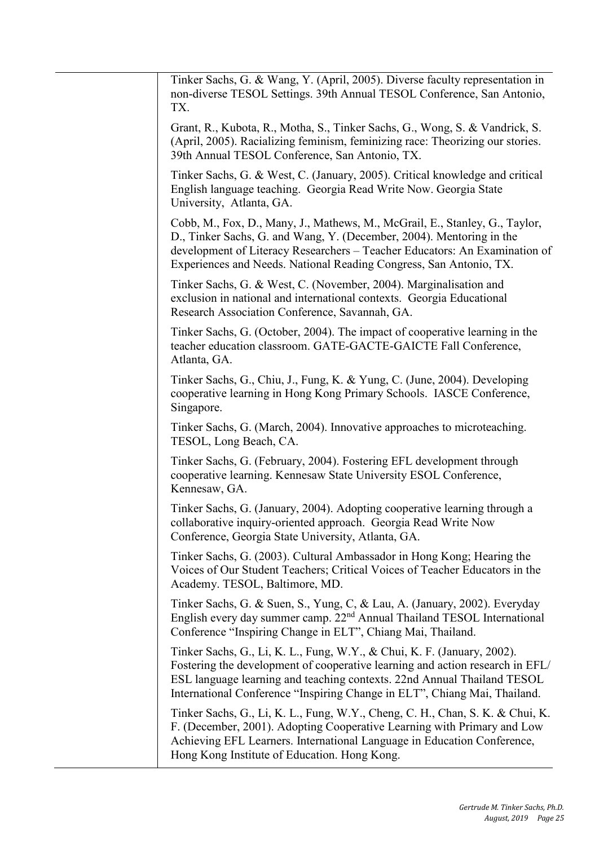| Tinker Sachs, G. & Wang, Y. (April, 2005). Diverse faculty representation in<br>non-diverse TESOL Settings. 39th Annual TESOL Conference, San Antonio,<br>TX.                                                                                                                                                    |
|------------------------------------------------------------------------------------------------------------------------------------------------------------------------------------------------------------------------------------------------------------------------------------------------------------------|
| Grant, R., Kubota, R., Motha, S., Tinker Sachs, G., Wong, S. & Vandrick, S.<br>(April, 2005). Racializing feminism, feminizing race: Theorizing our stories.<br>39th Annual TESOL Conference, San Antonio, TX.                                                                                                   |
| Tinker Sachs, G. & West, C. (January, 2005). Critical knowledge and critical<br>English language teaching. Georgia Read Write Now. Georgia State<br>University, Atlanta, GA.                                                                                                                                     |
| Cobb, M., Fox, D., Many, J., Mathews, M., McGrail, E., Stanley, G., Taylor,<br>D., Tinker Sachs, G. and Wang, Y. (December, 2004). Mentoring in the<br>development of Literacy Researchers - Teacher Educators: An Examination of<br>Experiences and Needs. National Reading Congress, San Antonio, TX.          |
| Tinker Sachs, G. & West, C. (November, 2004). Marginalisation and<br>exclusion in national and international contexts. Georgia Educational<br>Research Association Conference, Savannah, GA.                                                                                                                     |
| Tinker Sachs, G. (October, 2004). The impact of cooperative learning in the<br>teacher education classroom. GATE-GACTE-GAICTE Fall Conference,<br>Atlanta, GA.                                                                                                                                                   |
| Tinker Sachs, G., Chiu, J., Fung, K. & Yung, C. (June, 2004). Developing<br>cooperative learning in Hong Kong Primary Schools. IASCE Conference,<br>Singapore.                                                                                                                                                   |
| Tinker Sachs, G. (March, 2004). Innovative approaches to microteaching.<br>TESOL, Long Beach, CA.                                                                                                                                                                                                                |
| Tinker Sachs, G. (February, 2004). Fostering EFL development through<br>cooperative learning. Kennesaw State University ESOL Conference,<br>Kennesaw, GA.                                                                                                                                                        |
| Tinker Sachs, G. (January, 2004). Adopting cooperative learning through a<br>collaborative inquiry-oriented approach. Georgia Read Write Now<br>Conference, Georgia State University, Atlanta, GA.                                                                                                               |
| Tinker Sachs, G. (2003). Cultural Ambassador in Hong Kong; Hearing the<br>Voices of Our Student Teachers; Critical Voices of Teacher Educators in the<br>Academy. TESOL, Baltimore, MD.                                                                                                                          |
| Tinker Sachs, G. & Suen, S., Yung, C, & Lau, A. (January, 2002). Everyday<br>English every day summer camp. 22 <sup>nd</sup> Annual Thailand TESOL International<br>Conference "Inspiring Change in ELT", Chiang Mai, Thailand.                                                                                  |
| Tinker Sachs, G., Li, K. L., Fung, W.Y., & Chui, K. F. (January, 2002).<br>Fostering the development of cooperative learning and action research in EFL/<br>ESL language learning and teaching contexts. 22nd Annual Thailand TESOL<br>International Conference "Inspiring Change in ELT", Chiang Mai, Thailand. |
| Tinker Sachs, G., Li, K. L., Fung, W.Y., Cheng, C. H., Chan, S. K. & Chui, K.<br>F. (December, 2001). Adopting Cooperative Learning with Primary and Low<br>Achieving EFL Learners. International Language in Education Conference,<br>Hong Kong Institute of Education. Hong Kong.                              |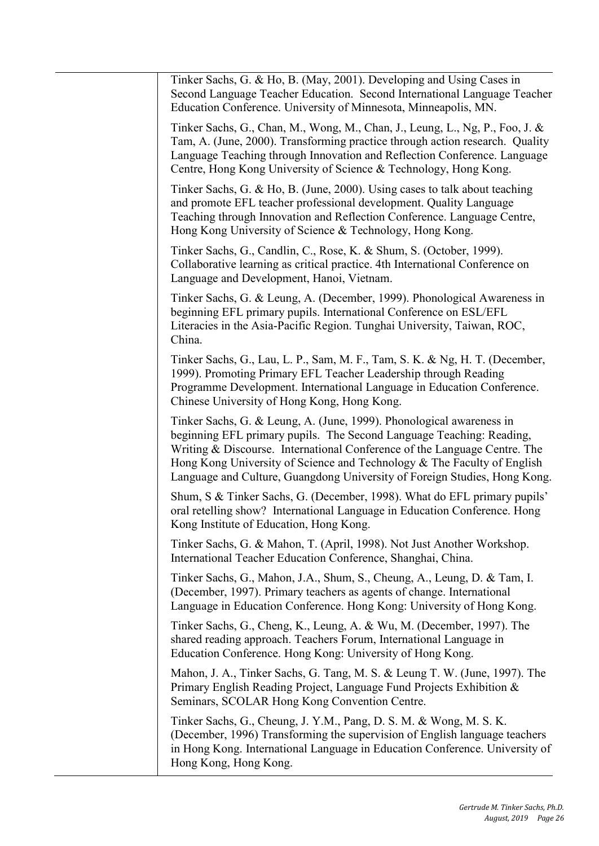| Tinker Sachs, G. & Ho, B. (May, 2001). Developing and Using Cases in<br>Second Language Teacher Education. Second International Language Teacher<br>Education Conference. University of Minnesota, Minneapolis, MN.                                                                                                                                                               |
|-----------------------------------------------------------------------------------------------------------------------------------------------------------------------------------------------------------------------------------------------------------------------------------------------------------------------------------------------------------------------------------|
| Tinker Sachs, G., Chan, M., Wong, M., Chan, J., Leung, L., Ng, P., Foo, J. &<br>Tam, A. (June, 2000). Transforming practice through action research. Quality<br>Language Teaching through Innovation and Reflection Conference. Language<br>Centre, Hong Kong University of Science & Technology, Hong Kong.                                                                      |
| Tinker Sachs, G. & Ho, B. (June, 2000). Using cases to talk about teaching<br>and promote EFL teacher professional development. Quality Language<br>Teaching through Innovation and Reflection Conference. Language Centre,<br>Hong Kong University of Science & Technology, Hong Kong.                                                                                           |
| Tinker Sachs, G., Candlin, C., Rose, K. & Shum, S. (October, 1999).<br>Collaborative learning as critical practice. 4th International Conference on<br>Language and Development, Hanoi, Vietnam.                                                                                                                                                                                  |
| Tinker Sachs, G. & Leung, A. (December, 1999). Phonological Awareness in<br>beginning EFL primary pupils. International Conference on ESL/EFL<br>Literacies in the Asia-Pacific Region. Tunghai University, Taiwan, ROC,<br>China.                                                                                                                                                |
| Tinker Sachs, G., Lau, L. P., Sam, M. F., Tam, S. K. & Ng, H. T. (December,<br>1999). Promoting Primary EFL Teacher Leadership through Reading<br>Programme Development. International Language in Education Conference.<br>Chinese University of Hong Kong, Hong Kong.                                                                                                           |
| Tinker Sachs, G. & Leung, A. (June, 1999). Phonological awareness in<br>beginning EFL primary pupils. The Second Language Teaching: Reading,<br>Writing & Discourse. International Conference of the Language Centre. The<br>Hong Kong University of Science and Technology & The Faculty of English<br>Language and Culture, Guangdong University of Foreign Studies, Hong Kong. |
| Shum, S & Tinker Sachs, G. (December, 1998). What do EFL primary pupils'<br>oral retelling show? International Language in Education Conference. Hong<br>Kong Institute of Education, Hong Kong.                                                                                                                                                                                  |
| Tinker Sachs, G. & Mahon, T. (April, 1998). Not Just Another Workshop.<br>International Teacher Education Conference, Shanghai, China.                                                                                                                                                                                                                                            |
| Tinker Sachs, G., Mahon, J.A., Shum, S., Cheung, A., Leung, D. & Tam, I.<br>(December, 1997). Primary teachers as agents of change. International<br>Language in Education Conference. Hong Kong: University of Hong Kong.                                                                                                                                                        |
| Tinker Sachs, G., Cheng, K., Leung, A. & Wu, M. (December, 1997). The<br>shared reading approach. Teachers Forum, International Language in<br>Education Conference. Hong Kong: University of Hong Kong.                                                                                                                                                                          |
| Mahon, J. A., Tinker Sachs, G. Tang, M. S. & Leung T. W. (June, 1997). The<br>Primary English Reading Project, Language Fund Projects Exhibition &<br>Seminars, SCOLAR Hong Kong Convention Centre.                                                                                                                                                                               |
| Tinker Sachs, G., Cheung, J. Y.M., Pang, D. S. M. & Wong, M. S. K.<br>(December, 1996) Transforming the supervision of English language teachers<br>in Hong Kong. International Language in Education Conference. University of<br>Hong Kong, Hong Kong.                                                                                                                          |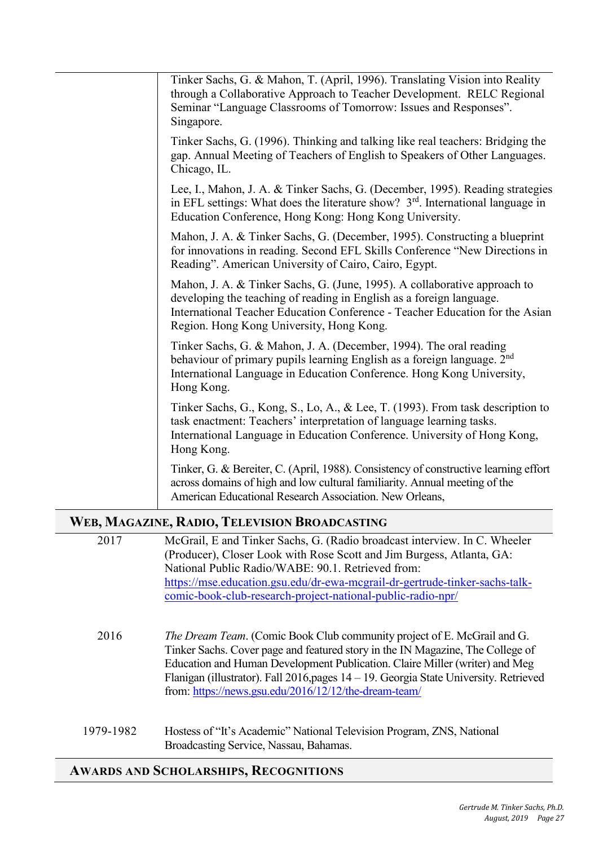| Tinker Sachs, G. & Mahon, T. (April, 1996). Translating Vision into Reality<br>through a Collaborative Approach to Teacher Development. RELC Regional<br>Seminar "Language Classrooms of Tomorrow: Issues and Responses".<br>Singapore.                                       |
|-------------------------------------------------------------------------------------------------------------------------------------------------------------------------------------------------------------------------------------------------------------------------------|
| Tinker Sachs, G. (1996). Thinking and talking like real teachers: Bridging the<br>gap. Annual Meeting of Teachers of English to Speakers of Other Languages.<br>Chicago, IL.                                                                                                  |
| Lee, I., Mahon, J. A. & Tinker Sachs, G. (December, 1995). Reading strategies<br>in EFL settings: What does the literature show? $3rd$ . International language in<br>Education Conference, Hong Kong: Hong Kong University.                                                  |
| Mahon, J. A. & Tinker Sachs, G. (December, 1995). Constructing a blueprint<br>for innovations in reading. Second EFL Skills Conference "New Directions in<br>Reading". American University of Cairo, Cairo, Egypt.                                                            |
| Mahon, J. A. & Tinker Sachs, G. (June, 1995). A collaborative approach to<br>developing the teaching of reading in English as a foreign language.<br>International Teacher Education Conference - Teacher Education for the Asian<br>Region. Hong Kong University, Hong Kong. |
| Tinker Sachs, G. & Mahon, J. A. (December, 1994). The oral reading<br>behaviour of primary pupils learning English as a foreign language. 2 <sup>nd</sup><br>International Language in Education Conference. Hong Kong University,<br>Hong Kong.                              |
| Tinker Sachs, G., Kong, S., Lo, A., & Lee, T. (1993). From task description to<br>task enactment: Teachers' interpretation of language learning tasks.<br>International Language in Education Conference. University of Hong Kong,<br>Hong Kong.                              |
| Tinker, G. & Bereiter, C. (April, 1988). Consistency of constructive learning effort<br>across domains of high and low cultural familiarity. Annual meeting of the<br>American Educational Research Association. New Orleans,                                                 |
| WEB, MAGAZINE, RADIO, TELEVISION BROADCASTING                                                                                                                                                                                                                                 |

|           | ED, MINOREAL REPORT LEED PROTO DROTH CHOTH                                                                                                                                                                                                                                                                                                                                                        |
|-----------|---------------------------------------------------------------------------------------------------------------------------------------------------------------------------------------------------------------------------------------------------------------------------------------------------------------------------------------------------------------------------------------------------|
| 2017      | McGrail, E and Tinker Sachs, G. (Radio broadcast interview. In C. Wheeler<br>(Producer), Closer Look with Rose Scott and Jim Burgess, Atlanta, GA:<br>National Public Radio/WABE: 90.1. Retrieved from:<br>https://mse.education.gsu.edu/dr-ewa-mcgrail-dr-gertrude-tinker-sachs-talk-<br>comic-book-club-research-project-national-public-radio-npr/                                             |
| 2016      | <i>The Dream Team.</i> (Comic Book Club community project of E. McGrail and G.<br>Tinker Sachs. Cover page and featured story in the IN Magazine, The College of<br>Education and Human Development Publication. Claire Miller (writer) and Meg<br>Flanigan (illustrator). Fall 2016, pages 14 – 19. Georgia State University. Retrieved<br>from: https://news.gsu.edu/2016/12/12/the-dream-team/ |
| 1979-1982 | Hostess of "It's Academic" National Television Program, ZNS, National<br>Broadcasting Service, Nassau, Bahamas.                                                                                                                                                                                                                                                                                   |

# **AWARDS AND SCHOLARSHIPS, RECOGNITIONS**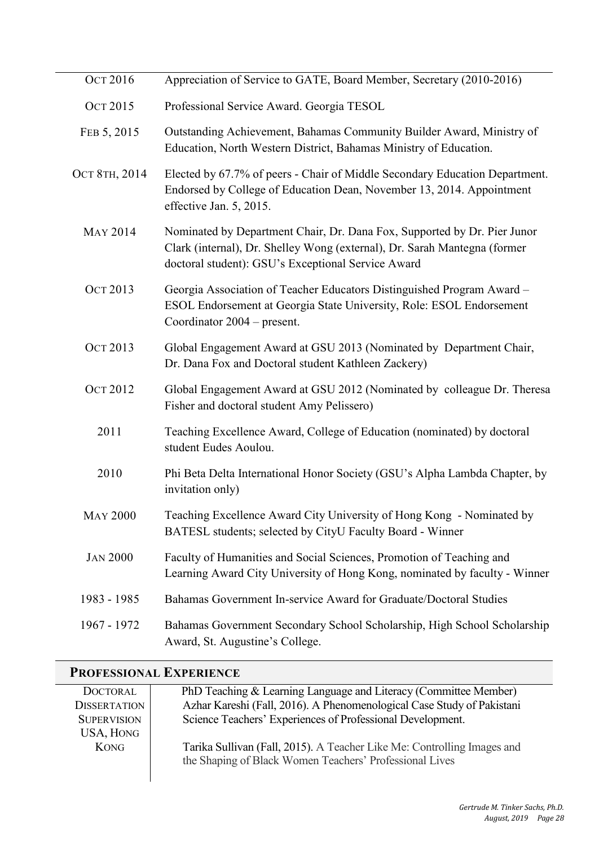| <b>OCT 2016</b> | Appreciation of Service to GATE, Board Member, Secretary (2010-2016)                                                                                                                                        |
|-----------------|-------------------------------------------------------------------------------------------------------------------------------------------------------------------------------------------------------------|
| <b>OCT 2015</b> | Professional Service Award. Georgia TESOL                                                                                                                                                                   |
| FEB 5, 2015     | Outstanding Achievement, Bahamas Community Builder Award, Ministry of<br>Education, North Western District, Bahamas Ministry of Education.                                                                  |
| Ост 8тн, 2014   | Elected by 67.7% of peers - Chair of Middle Secondary Education Department.<br>Endorsed by College of Education Dean, November 13, 2014. Appointment<br>effective Jan. 5, 2015.                             |
| <b>MAY 2014</b> | Nominated by Department Chair, Dr. Dana Fox, Supported by Dr. Pier Junor<br>Clark (internal), Dr. Shelley Wong (external), Dr. Sarah Mantegna (former<br>doctoral student): GSU's Exceptional Service Award |
| Ост 2013        | Georgia Association of Teacher Educators Distinguished Program Award -<br>ESOL Endorsement at Georgia State University, Role: ESOL Endorsement<br>Coordinator 2004 – present.                               |
| Ост 2013        | Global Engagement Award at GSU 2013 (Nominated by Department Chair,<br>Dr. Dana Fox and Doctoral student Kathleen Zackery)                                                                                  |
| <b>OCT 2012</b> | Global Engagement Award at GSU 2012 (Nominated by colleague Dr. Theresa<br>Fisher and doctoral student Amy Pelissero)                                                                                       |
| 2011            | Teaching Excellence Award, College of Education (nominated) by doctoral<br>student Eudes Aoulou.                                                                                                            |
| 2010            | Phi Beta Delta International Honor Society (GSU's Alpha Lambda Chapter, by<br>invitation only)                                                                                                              |
| <b>MAY 2000</b> | Teaching Excellence Award City University of Hong Kong - Nominated by<br>BATESL students; selected by CityU Faculty Board - Winner                                                                          |
| <b>JAN 2000</b> | Faculty of Humanities and Social Sciences, Promotion of Teaching and<br>Learning Award City University of Hong Kong, nominated by faculty - Winner                                                          |
| 1983 - 1985     | Bahamas Government In-service Award for Graduate/Doctoral Studies                                                                                                                                           |
| 1967 - 1972     | Bahamas Government Secondary School Scholarship, High School Scholarship<br>Award, St. Augustine's College.                                                                                                 |

# **PROFESSIONAL EXPERIENCE**

| <b>DOCTORAL</b>     | PhD Teaching & Learning Language and Literacy (Committee Member)        |
|---------------------|-------------------------------------------------------------------------|
| <b>DISSERTATION</b> | Azhar Kareshi (Fall, 2016). A Phenomenological Case Study of Pakistani  |
| <b>SUPERVISION</b>  | Science Teachers' Experiences of Professional Development.              |
| <b>USA, HONG</b>    |                                                                         |
| <b>KONG</b>         | Tarika Sullivan (Fall, 2015). A Teacher Like Me: Controlling Images and |
|                     | the Shaping of Black Women Teachers' Professional Lives                 |
|                     |                                                                         |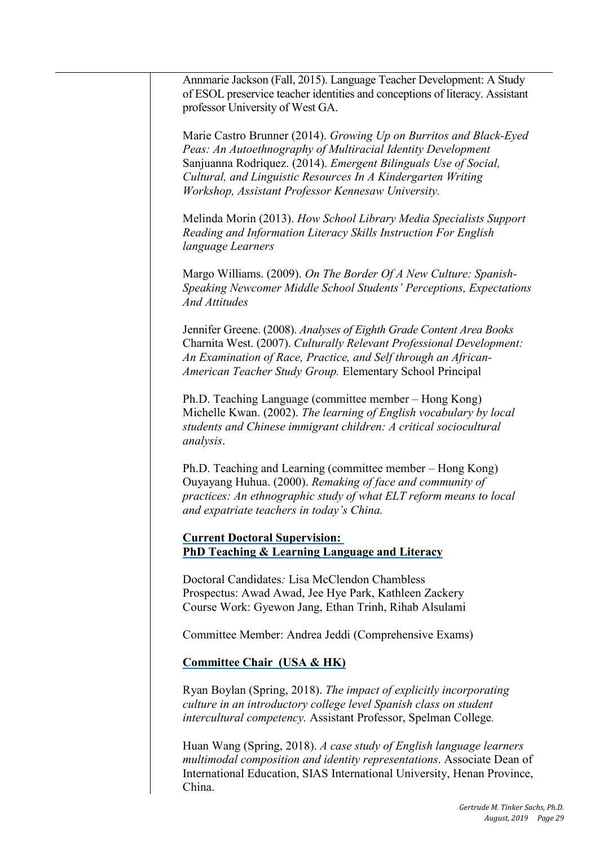Marie Castro Brunner (2014). *Growing Up on Burritos and Black-Eyed Peas: An Autoethnography of Multiracial Identity Development*  Sanjuanna Rodriquez. (2014). *Emergent Bilinguals Use of Social, Cultural, and Linguistic Resources In A Kindergarten Writing Workshop, Assistant Professor Kennesaw University.* 

Melinda Morin (2013). *How School Library Media Specialists Support Reading and Information Literacy Skills Instruction For English language Learners* 

Margo Williams. (2009). *On The Border Of A New Culture: Spanish-Speaking Newcomer Middle School Students' Perceptions, Expectations And Attitudes* 

Jennifer Greene. (2008). *Analyses of Eighth Grade Content Area Books*  Charnita West. (2007). *Culturally Relevant Professional Development: An Examination of Race, Practice, and Self through an African-American Teacher Study Group.* Elementary School Principal

Ph.D. Teaching Language (committee member – Hong Kong) Michelle Kwan. (2002). *The learning of English vocabulary by local students and Chinese immigrant children: A critical sociocultural analysis*.

 Ph.D. Teaching and Learning (committee member – Hong Kong) Ouyayang Huhua. (2000). *Remaking of face and community of practices: An ethnographic study of what ELT reform means to local and expatriate teachers in today's China.* 

 **PhD Teaching & Learning Language and Literacy Current Doctoral Supervision:** 

Course Work: Gyewon Jang, Ethan Trinh, Rihab Alsulami Doctoral Candidates*:* Lisa McClendon Chambless Prospectus: Awad Awad, Jee Hye Park, Kathleen Zackery

Committee Member: Andrea Jeddi (Comprehensive Exams)

#### **Committee Chair (USA & HK)**

Ryan Boylan (Spring, 2018). *The impact of explicitly incorporating culture in an introductory college level Spanish class on student intercultural competency.* Assistant Professor, Spelman College*.* 

Huan Wang (Spring, 2018). *A case study of English language learners multimodal composition and identity representations*. Associate Dean of International Education, SIAS International University, Henan Province, China.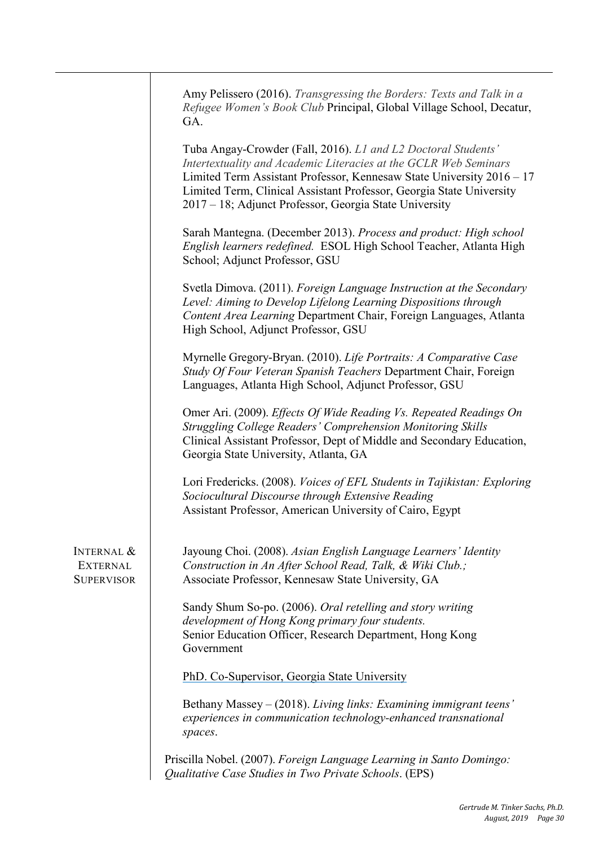|                                                               | Amy Pelissero (2016). Transgressing the Borders: Texts and Talk in a<br>Refugee Women's Book Club Principal, Global Village School, Decatur,<br>GA.                                                                                                                                                                                          |
|---------------------------------------------------------------|----------------------------------------------------------------------------------------------------------------------------------------------------------------------------------------------------------------------------------------------------------------------------------------------------------------------------------------------|
|                                                               | Tuba Angay-Crowder (Fall, 2016). L1 and L2 Doctoral Students'<br>Intertextuality and Academic Literacies at the GCLR Web Seminars<br>Limited Term Assistant Professor, Kennesaw State University 2016 - 17<br>Limited Term, Clinical Assistant Professor, Georgia State University<br>2017 – 18; Adjunct Professor, Georgia State University |
|                                                               | Sarah Mantegna. (December 2013). Process and product: High school<br>English learners redefined. ESOL High School Teacher, Atlanta High<br>School; Adjunct Professor, GSU                                                                                                                                                                    |
|                                                               | Svetla Dimova. (2011). Foreign Language Instruction at the Secondary<br>Level: Aiming to Develop Lifelong Learning Dispositions through<br>Content Area Learning Department Chair, Foreign Languages, Atlanta<br>High School, Adjunct Professor, GSU                                                                                         |
|                                                               | Myrnelle Gregory-Bryan. (2010). Life Portraits: A Comparative Case<br>Study Of Four Veteran Spanish Teachers Department Chair, Foreign<br>Languages, Atlanta High School, Adjunct Professor, GSU                                                                                                                                             |
|                                                               | Omer Ari. (2009). Effects Of Wide Reading Vs. Repeated Readings On<br>Struggling College Readers' Comprehension Monitoring Skills<br>Clinical Assistant Professor, Dept of Middle and Secondary Education,<br>Georgia State University, Atlanta, GA                                                                                          |
|                                                               | Lori Fredericks. (2008). Voices of EFL Students in Tajikistan: Exploring<br>Sociocultural Discourse through Extensive Reading<br>Assistant Professor, American University of Cairo, Egypt                                                                                                                                                    |
| <b>INTERNAL &amp;</b><br><b>EXTERNAL</b><br><b>SUPERVISOR</b> | Jayoung Choi. (2008). Asian English Language Learners' Identity<br>Construction in An After School Read, Talk, & Wiki Club.;<br>Associate Professor, Kennesaw State University, GA                                                                                                                                                           |
|                                                               | Sandy Shum So-po. (2006). Oral retelling and story writing<br>development of Hong Kong primary four students.<br>Senior Education Officer, Research Department, Hong Kong<br>Government                                                                                                                                                      |
|                                                               | PhD. Co-Supervisor, Georgia State University                                                                                                                                                                                                                                                                                                 |
|                                                               | Bethany Massey – (2018). Living links: Examining immigrant teens'<br>experiences in communication technology-enhanced transnational<br>spaces.                                                                                                                                                                                               |
|                                                               | Priscilla Nobel. (2007). Foreign Language Learning in Santo Domingo:<br>Qualitative Case Studies in Two Private Schools. (EPS)                                                                                                                                                                                                               |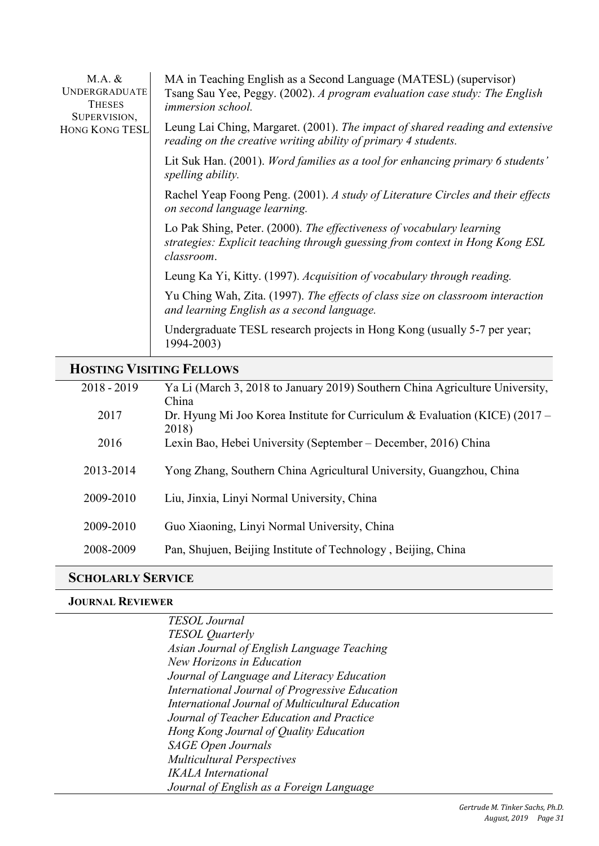| $M.A.$ &<br><b>UNDERGRADUATE</b><br><b>THESES</b><br>SUPERVISION, | MA in Teaching English as a Second Language (MATESL) (supervisor)<br>Tsang Sau Yee, Peggy. (2002). A program evaluation case study: The English<br><i>immersion school.</i> |
|-------------------------------------------------------------------|-----------------------------------------------------------------------------------------------------------------------------------------------------------------------------|
| <b>HONG KONG TESL</b>                                             | Leung Lai Ching, Margaret. (2001). The impact of shared reading and extensive<br>reading on the creative writing ability of primary 4 students.                             |
|                                                                   | Lit Suk Han. (2001). Word families as a tool for enhancing primary 6 students'<br>spelling ability.                                                                         |
|                                                                   | Rachel Yeap Foong Peng. (2001). A study of Literature Circles and their effects<br>on second language learning.                                                             |
|                                                                   | Lo Pak Shing, Peter. (2000). The effectiveness of vocabulary learning<br>strategies: Explicit teaching through guessing from context in Hong Kong ESL<br>classroom.         |
|                                                                   | Leung Ka Yi, Kitty. (1997). Acquisition of vocabulary through reading.                                                                                                      |
|                                                                   | Yu Ching Wah, Zita. (1997). The effects of class size on classroom interaction<br>and learning English as a second language.                                                |
|                                                                   | Undergraduate TESL research projects in Hong Kong (usually 5-7 per year;<br>1994-2003)                                                                                      |

### **HOSTING VISITING FELLOWS**

| $2018 - 2019$ | Ya Li (March 3, 2018 to January 2019) Southern China Agriculture University,           |
|---------------|----------------------------------------------------------------------------------------|
|               | China                                                                                  |
| 2017          | Dr. Hyung Mi Joo Korea Institute for Curriculum & Evaluation (KICE) $(2017 -$<br>2018) |
| 2016          | Lexin Bao, Hebei University (September – December, 2016) China                         |
| 2013-2014     | Yong Zhang, Southern China Agricultural University, Guangzhou, China                   |
| 2009-2010     | Liu, Jinxia, Linyi Normal University, China                                            |
| 2009-2010     | Guo Xiaoning, Linyi Normal University, China                                           |
| 2008-2009     | Pan, Shujuen, Beijing Institute of Technology, Beijing, China                          |

#### **SCHOLARLY SERVICE**

#### **JOURNAL REVIEWER**

 *International Journal of Multicultural Education TESOL Journal TESOL Quarterly Asian Journal of English Language Teaching New Horizons in Education Journal of Language and Literacy Education International Journal of Progressive Education Journal of Teacher Education and Practice Hong Kong Journal of Quality Education SAGE Open Journals Multicultural Perspectives IKALA International Journal of English as a Foreign Language*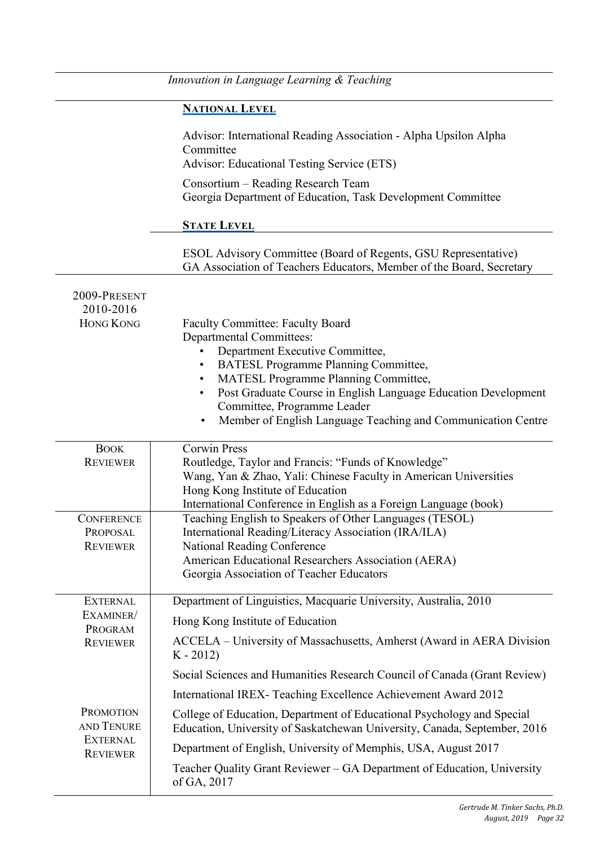|                                                  | Innovation in Language Learning & Teaching                                                                                                                                                                                                                                                                                      |
|--------------------------------------------------|---------------------------------------------------------------------------------------------------------------------------------------------------------------------------------------------------------------------------------------------------------------------------------------------------------------------------------|
|                                                  | <b>NATIONAL LEVEL</b>                                                                                                                                                                                                                                                                                                           |
|                                                  | Advisor: International Reading Association - Alpha Upsilon Alpha<br>Committee<br>Advisor: Educational Testing Service (ETS)                                                                                                                                                                                                     |
|                                                  | Consortium – Reading Research Team<br>Georgia Department of Education, Task Development Committee                                                                                                                                                                                                                               |
|                                                  | <b>STATE LEVEL</b>                                                                                                                                                                                                                                                                                                              |
|                                                  | ESOL Advisory Committee (Board of Regents, GSU Representative)<br>GA Association of Teachers Educators, Member of the Board, Secretary                                                                                                                                                                                          |
| 2009-PRESENT<br>2010-2016<br><b>HONG KONG</b>    | <b>Faculty Committee: Faculty Board</b>                                                                                                                                                                                                                                                                                         |
|                                                  | <b>Departmental Committees:</b><br>Department Executive Committee,<br><b>BATESL Programme Planning Committee,</b><br>MATESL Programme Planning Committee,<br>Post Graduate Course in English Language Education Development<br>Committee, Programme Leader<br>Member of English Language Teaching and Communication Centre<br>٠ |
| <b>BOOK</b><br><b>REVIEWER</b>                   | <b>Corwin Press</b><br>Routledge, Taylor and Francis: "Funds of Knowledge"<br>Wang, Yan & Zhao, Yali: Chinese Faculty in American Universities<br>Hong Kong Institute of Education<br>International Conference in English as a Foreign Language (book)                                                                          |
| <b>CONFERENCE</b><br>PROPOSAL<br><b>REVIEWER</b> | Teaching English to Speakers of Other Languages (TESOL)<br>International Reading/Literacy Association (IRA/ILA)<br><b>National Reading Conference</b><br>American Educational Researchers Association (AERA)<br>Georgia Association of Teacher Educators                                                                        |
| <b>EXTERNAL</b><br>EXAMINER/                     | Department of Linguistics, Macquarie University, Australia, 2010<br>Hong Kong Institute of Education                                                                                                                                                                                                                            |
| PROGRAM<br><b>REVIEWER</b>                       | ACCELA - University of Massachusetts, Amherst (Award in AERA Division<br>$K - 2012$                                                                                                                                                                                                                                             |
|                                                  | Social Sciences and Humanities Research Council of Canada (Grant Review)                                                                                                                                                                                                                                                        |
|                                                  | International IREX- Teaching Excellence Achievement Award 2012                                                                                                                                                                                                                                                                  |
| <b>PROMOTION</b><br>AND TENURE                   | College of Education, Department of Educational Psychology and Special<br>Education, University of Saskatchewan University, Canada, September, 2016                                                                                                                                                                             |
| <b>EXTERNAL</b><br><b>REVIEWER</b>               | Department of English, University of Memphis, USA, August 2017                                                                                                                                                                                                                                                                  |
|                                                  | Teacher Quality Grant Reviewer – GA Department of Education, University<br>of GA, 2017                                                                                                                                                                                                                                          |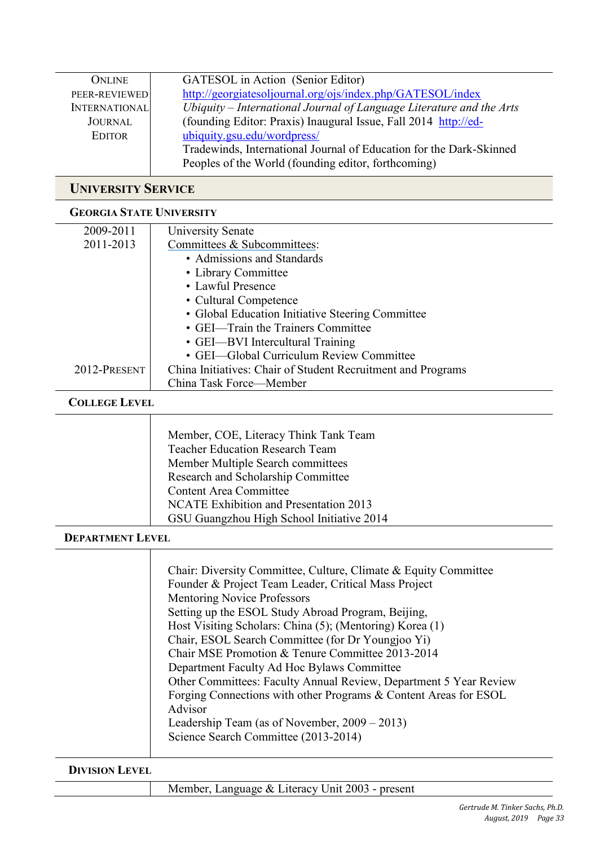| ONLINE               | GATESOL in Action (Senior Editor)                                    |
|----------------------|----------------------------------------------------------------------|
| PEER-REVIEWED        | http://georgiatesoljournal.org/ojs/index.php/GATESOL/index           |
| <b>INTERNATIONAL</b> | Ubiquity – International Journal of Language Literature and the Arts |
| JOURNAL              | (founding Editor: Praxis) Inaugural Issue, Fall 2014 http://ed-      |
| <b>EDITOR</b>        | ubiquity.gsu.edu/wordpress/                                          |
|                      | Tradewinds, International Journal of Education for the Dark-Skinned  |
|                      | Peoples of the World (founding editor, forthcoming)                  |

### **UNIVERSITY SERVICE**

#### **GEORGIA STATE UNIVERSITY**

| 2009-2011            | University Senate                                            |  |
|----------------------|--------------------------------------------------------------|--|
| 2011-2013            | Committees & Subcommittees:                                  |  |
|                      | • Admissions and Standards                                   |  |
|                      | • Library Committee                                          |  |
|                      | • Lawful Presence                                            |  |
|                      | • Cultural Competence                                        |  |
|                      | • Global Education Initiative Steering Committee             |  |
|                      | • GEI—Train the Trainers Committee                           |  |
|                      | • GEI—BVI Intercultural Training                             |  |
|                      | • GEI—Global Curriculum Review Committee                     |  |
| 2012-PRESENT         | China Initiatives: Chair of Student Recruitment and Programs |  |
|                      | China Task Force—Member                                      |  |
| <b>COLLEGE LEVEL</b> |                                                              |  |
|                      |                                                              |  |
|                      | Member, COE, Literacy Think Tank Team                        |  |
|                      | <b>Teacher Education Research Team</b>                       |  |
|                      | Member Multiple Search committees                            |  |
|                      | Research and Scholarship Committee                           |  |
|                      | <b>Content Area Committee</b>                                |  |
|                      | <b>NCATE Exhibition and Presentation 2013</b>                |  |
|                      | GSU Guangzhou High School Initiative 2014                    |  |

#### **DEPARTMENT LEVEL**

| Chair: Diversity Committee, Culture, Climate & Equity Committee   |
|-------------------------------------------------------------------|
| Founder & Project Team Leader, Critical Mass Project              |
| <b>Mentoring Novice Professors</b>                                |
| Setting up the ESOL Study Abroad Program, Beijing,                |
| Host Visiting Scholars: China (5); (Mentoring) Korea (1)          |
| Chair, ESOL Search Committee (for Dr Youngjoo Yi)                 |
| Chair MSE Promotion & Tenure Committee 2013-2014                  |
| Department Faculty Ad Hoc Bylaws Committee                        |
| Other Committees: Faculty Annual Review, Department 5 Year Review |
| Forging Connections with other Programs & Content Areas for ESOL  |
| Advisor                                                           |
| Leadership Team (as of November, $2009 - 2013$ )                  |
| Science Search Committee (2013-2014)                              |

**DIVISION LEVEL** 

Member, Language & Literacy Unit 2003 - present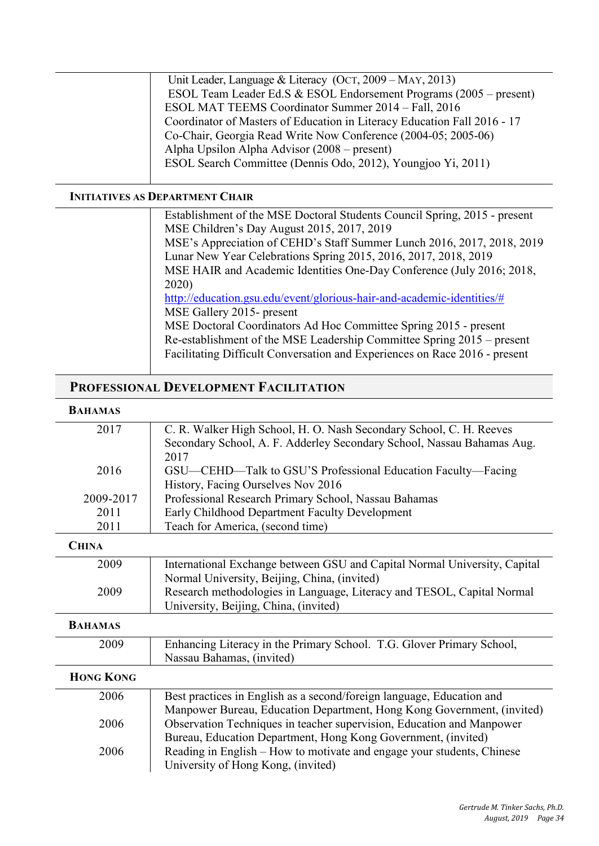| Unit Leader, Language & Literacy (OCT, 2009 – MAY, 2013)                 |
|--------------------------------------------------------------------------|
| ESOL Team Leader Ed.S & ESOL Endorsement Programs (2005 – present)       |
| ESOL MAT TEEMS Coordinator Summer 2014 - Fall, 2016                      |
| Coordinator of Masters of Education in Literacy Education Fall 2016 - 17 |
| Co-Chair, Georgia Read Write Now Conference (2004-05; 2005-06)           |
| Alpha Upsilon Alpha Advisor (2008 – present)                             |
| ESOL Search Committee (Dennis Odo, 2012), Youngjoo Yi, 2011)             |
|                                                                          |

#### **INITIATIVES AS DEPARTMENT CHAIR**

| Establishment of the MSE Doctoral Students Council Spring, 2015 - present  |  |
|----------------------------------------------------------------------------|--|
| MSE Children's Day August 2015, 2017, 2019                                 |  |
| MSE's Appreciation of CEHD's Staff Summer Lunch 2016, 2017, 2018, 2019     |  |
| Lunar New Year Celebrations Spring 2015, 2016, 2017, 2018, 2019            |  |
| MSE HAIR and Academic Identities One-Day Conference (July 2016; 2018,      |  |
| 2020)                                                                      |  |
| http://education.gsu.edu/event/glorious-hair-and-academic-identities/#     |  |
| MSE Gallery 2015- present                                                  |  |
| MSE Doctoral Coordinators Ad Hoc Committee Spring 2015 - present           |  |
| Re-establishment of the MSE Leadership Committee Spring 2015 – present     |  |
| Facilitating Difficult Conversation and Experiences on Race 2016 - present |  |

# **PROFESSIONAL DEVELOPMENT FACILITATION**

#### **BAHAMAS**

| 2017             | C. R. Walker High School, H. O. Nash Secondary School, C. H. Reeves       |
|------------------|---------------------------------------------------------------------------|
|                  | Secondary School, A. F. Adderley Secondary School, Nassau Bahamas Aug.    |
|                  | 2017                                                                      |
| 2016             | GSU—CEHD—Talk to GSU'S Professional Education Faculty—Facing              |
|                  | History, Facing Ourselves Nov 2016                                        |
| 2009-2017        | Professional Research Primary School, Nassau Bahamas                      |
| 2011             | Early Childhood Department Faculty Development                            |
| 2011             | Teach for America, (second time)                                          |
| <b>CHINA</b>     |                                                                           |
| 2009             | International Exchange between GSU and Capital Normal University, Capital |
|                  | Normal University, Beijing, China, (invited)                              |
| 2009             | Research methodologies in Language, Literacy and TESOL, Capital Normal    |
|                  | University, Beijing, China, (invited)                                     |
| <b>BAHAMAS</b>   |                                                                           |
| 2009             | Enhancing Literacy in the Primary School. T.G. Glover Primary School,     |
|                  | Nassau Bahamas, (invited)                                                 |
| <b>HONG KONG</b> |                                                                           |
| 2006             | Best practices in English as a second/foreign language, Education and     |
|                  | Manpower Bureau, Education Department, Hong Kong Government, (invited)    |
| 2006             | Observation Techniques in teacher supervision, Education and Manpower     |
|                  | Bureau, Education Department, Hong Kong Government, (invited)             |
| 2006             | Reading in English – How to motivate and engage your students, Chinese    |
|                  | University of Hong Kong, (invited)                                        |
|                  |                                                                           |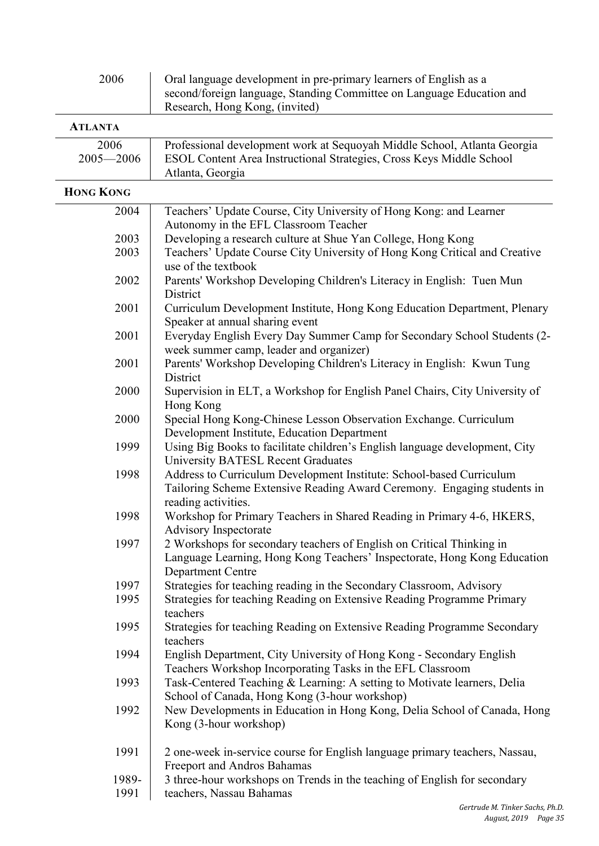| 2006<br>Oral language development in pre-primary learners of English as a<br>second/foreign language, Standing Committee on Language Education and<br>Research, Hong Kong, (invited) |                                                                                                                                                                               |  |
|--------------------------------------------------------------------------------------------------------------------------------------------------------------------------------------|-------------------------------------------------------------------------------------------------------------------------------------------------------------------------------|--|
| <b>ATLANTA</b>                                                                                                                                                                       |                                                                                                                                                                               |  |
| 2006<br>$2005 - 2006$                                                                                                                                                                | Professional development work at Sequoyah Middle School, Atlanta Georgia<br>ESOL Content Area Instructional Strategies, Cross Keys Middle School<br>Atlanta, Georgia          |  |
| <b>HONG KONG</b>                                                                                                                                                                     |                                                                                                                                                                               |  |
| 2004                                                                                                                                                                                 | Teachers' Update Course, City University of Hong Kong: and Learner                                                                                                            |  |
| 2003                                                                                                                                                                                 | Autonomy in the EFL Classroom Teacher<br>Developing a research culture at Shue Yan College, Hong Kong                                                                         |  |
| 2003                                                                                                                                                                                 | Teachers' Update Course City University of Hong Kong Critical and Creative<br>use of the textbook                                                                             |  |
| 2002                                                                                                                                                                                 | Parents' Workshop Developing Children's Literacy in English: Tuen Mun<br>District                                                                                             |  |
| 2001                                                                                                                                                                                 | Curriculum Development Institute, Hong Kong Education Department, Plenary<br>Speaker at annual sharing event                                                                  |  |
| 2001                                                                                                                                                                                 | Everyday English Every Day Summer Camp for Secondary School Students (2-<br>week summer camp, leader and organizer)                                                           |  |
| 2001                                                                                                                                                                                 | Parents' Workshop Developing Children's Literacy in English: Kwun Tung<br>District                                                                                            |  |
| 2000                                                                                                                                                                                 | Supervision in ELT, a Workshop for English Panel Chairs, City University of<br>Hong Kong                                                                                      |  |
| 2000                                                                                                                                                                                 | Special Hong Kong-Chinese Lesson Observation Exchange. Curriculum<br>Development Institute, Education Department                                                              |  |
| 1999                                                                                                                                                                                 | Using Big Books to facilitate children's English language development, City<br><b>University BATESL Recent Graduates</b>                                                      |  |
| 1998                                                                                                                                                                                 | Address to Curriculum Development Institute: School-based Curriculum<br>Tailoring Scheme Extensive Reading Award Ceremony. Engaging students in<br>reading activities.        |  |
| 1998                                                                                                                                                                                 | Workshop for Primary Teachers in Shared Reading in Primary 4-6, HKERS<br><b>Advisory Inspectorate</b>                                                                         |  |
| 1997                                                                                                                                                                                 | 2 Workshops for secondary teachers of English on Critical Thinking in<br>Language Learning, Hong Kong Teachers' Inspectorate, Hong Kong Education<br><b>Department Centre</b> |  |
| 1997                                                                                                                                                                                 | Strategies for teaching reading in the Secondary Classroom, Advisory                                                                                                          |  |
| 1995                                                                                                                                                                                 | Strategies for teaching Reading on Extensive Reading Programme Primary<br>teachers                                                                                            |  |
| 1995                                                                                                                                                                                 | Strategies for teaching Reading on Extensive Reading Programme Secondary<br>teachers                                                                                          |  |
| 1994                                                                                                                                                                                 | English Department, City University of Hong Kong - Secondary English<br>Teachers Workshop Incorporating Tasks in the EFL Classroom                                            |  |
| 1993                                                                                                                                                                                 | Task-Centered Teaching & Learning: A setting to Motivate learners, Delia<br>School of Canada, Hong Kong (3-hour workshop)                                                     |  |
| 1992                                                                                                                                                                                 | New Developments in Education in Hong Kong, Delia School of Canada, Hong<br>Kong (3-hour workshop)                                                                            |  |
| 1991                                                                                                                                                                                 | 2 one-week in-service course for English language primary teachers, Nassau,<br>Freeport and Andros Bahamas                                                                    |  |
| 1989-                                                                                                                                                                                | 3 three-hour workshops on Trends in the teaching of English for secondary                                                                                                     |  |
| 1991                                                                                                                                                                                 | teachers, Nassau Bahamas                                                                                                                                                      |  |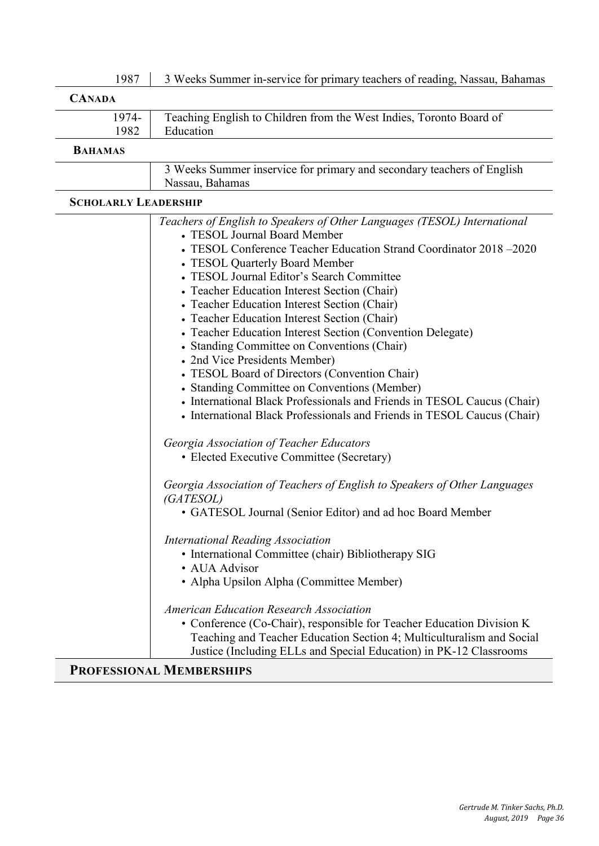| 1987 | 3 Weeks Summer in-service for primary teachers of reading, Nassau, Bahamas |  |
|------|----------------------------------------------------------------------------|--|
|      |                                                                            |  |

| <b>CANADA</b>  |                                                                     |
|----------------|---------------------------------------------------------------------|
| 1974-          | Teaching English to Children from the West Indies, Toronto Board of |
| 1982           | Education                                                           |
| <b>RAHAMAS</b> |                                                                     |

#### **BAHAMAS**

| 3 Weeks Summer inservice for primary and secondary teachers of English |
|------------------------------------------------------------------------|
| Nassau, Bahamas                                                        |

#### **SCHOLARLY LEADERSHIP**

| Teachers of English to Speakers of Other Languages (TESOL) International<br>• TESOL Journal Board Member<br>• TESOL Conference Teacher Education Strand Coordinator 2018 -2020<br>• TESOL Quarterly Board Member<br>• TESOL Journal Editor's Search Committee<br>• Teacher Education Interest Section (Chair)<br>• Teacher Education Interest Section (Chair)<br>• Teacher Education Interest Section (Chair)<br>• Teacher Education Interest Section (Convention Delegate)<br>• Standing Committee on Conventions (Chair)<br>• 2nd Vice Presidents Member)<br>• TESOL Board of Directors (Convention Chair)<br>• Standing Committee on Conventions (Member)<br>• International Black Professionals and Friends in TESOL Caucus (Chair)<br>• International Black Professionals and Friends in TESOL Caucus (Chair)<br>Georgia Association of Teacher Educators<br>• Elected Executive Committee (Secretary)<br>Georgia Association of Teachers of English to Speakers of Other Languages<br>(GATESOL)<br>• GATESOL Journal (Senior Editor) and ad hoc Board Member<br><b>International Reading Association</b> |
|----------------------------------------------------------------------------------------------------------------------------------------------------------------------------------------------------------------------------------------------------------------------------------------------------------------------------------------------------------------------------------------------------------------------------------------------------------------------------------------------------------------------------------------------------------------------------------------------------------------------------------------------------------------------------------------------------------------------------------------------------------------------------------------------------------------------------------------------------------------------------------------------------------------------------------------------------------------------------------------------------------------------------------------------------------------------------------------------------------------|
|                                                                                                                                                                                                                                                                                                                                                                                                                                                                                                                                                                                                                                                                                                                                                                                                                                                                                                                                                                                                                                                                                                                |
|                                                                                                                                                                                                                                                                                                                                                                                                                                                                                                                                                                                                                                                                                                                                                                                                                                                                                                                                                                                                                                                                                                                |
|                                                                                                                                                                                                                                                                                                                                                                                                                                                                                                                                                                                                                                                                                                                                                                                                                                                                                                                                                                                                                                                                                                                |
|                                                                                                                                                                                                                                                                                                                                                                                                                                                                                                                                                                                                                                                                                                                                                                                                                                                                                                                                                                                                                                                                                                                |
|                                                                                                                                                                                                                                                                                                                                                                                                                                                                                                                                                                                                                                                                                                                                                                                                                                                                                                                                                                                                                                                                                                                |
|                                                                                                                                                                                                                                                                                                                                                                                                                                                                                                                                                                                                                                                                                                                                                                                                                                                                                                                                                                                                                                                                                                                |
|                                                                                                                                                                                                                                                                                                                                                                                                                                                                                                                                                                                                                                                                                                                                                                                                                                                                                                                                                                                                                                                                                                                |
|                                                                                                                                                                                                                                                                                                                                                                                                                                                                                                                                                                                                                                                                                                                                                                                                                                                                                                                                                                                                                                                                                                                |
|                                                                                                                                                                                                                                                                                                                                                                                                                                                                                                                                                                                                                                                                                                                                                                                                                                                                                                                                                                                                                                                                                                                |
|                                                                                                                                                                                                                                                                                                                                                                                                                                                                                                                                                                                                                                                                                                                                                                                                                                                                                                                                                                                                                                                                                                                |
|                                                                                                                                                                                                                                                                                                                                                                                                                                                                                                                                                                                                                                                                                                                                                                                                                                                                                                                                                                                                                                                                                                                |
|                                                                                                                                                                                                                                                                                                                                                                                                                                                                                                                                                                                                                                                                                                                                                                                                                                                                                                                                                                                                                                                                                                                |
|                                                                                                                                                                                                                                                                                                                                                                                                                                                                                                                                                                                                                                                                                                                                                                                                                                                                                                                                                                                                                                                                                                                |
|                                                                                                                                                                                                                                                                                                                                                                                                                                                                                                                                                                                                                                                                                                                                                                                                                                                                                                                                                                                                                                                                                                                |
|                                                                                                                                                                                                                                                                                                                                                                                                                                                                                                                                                                                                                                                                                                                                                                                                                                                                                                                                                                                                                                                                                                                |
|                                                                                                                                                                                                                                                                                                                                                                                                                                                                                                                                                                                                                                                                                                                                                                                                                                                                                                                                                                                                                                                                                                                |
|                                                                                                                                                                                                                                                                                                                                                                                                                                                                                                                                                                                                                                                                                                                                                                                                                                                                                                                                                                                                                                                                                                                |
|                                                                                                                                                                                                                                                                                                                                                                                                                                                                                                                                                                                                                                                                                                                                                                                                                                                                                                                                                                                                                                                                                                                |
|                                                                                                                                                                                                                                                                                                                                                                                                                                                                                                                                                                                                                                                                                                                                                                                                                                                                                                                                                                                                                                                                                                                |
|                                                                                                                                                                                                                                                                                                                                                                                                                                                                                                                                                                                                                                                                                                                                                                                                                                                                                                                                                                                                                                                                                                                |
|                                                                                                                                                                                                                                                                                                                                                                                                                                                                                                                                                                                                                                                                                                                                                                                                                                                                                                                                                                                                                                                                                                                |
|                                                                                                                                                                                                                                                                                                                                                                                                                                                                                                                                                                                                                                                                                                                                                                                                                                                                                                                                                                                                                                                                                                                |
|                                                                                                                                                                                                                                                                                                                                                                                                                                                                                                                                                                                                                                                                                                                                                                                                                                                                                                                                                                                                                                                                                                                |
|                                                                                                                                                                                                                                                                                                                                                                                                                                                                                                                                                                                                                                                                                                                                                                                                                                                                                                                                                                                                                                                                                                                |
| • International Committee (chair) Bibliotherapy SIG                                                                                                                                                                                                                                                                                                                                                                                                                                                                                                                                                                                                                                                                                                                                                                                                                                                                                                                                                                                                                                                            |
| • AUA Advisor                                                                                                                                                                                                                                                                                                                                                                                                                                                                                                                                                                                                                                                                                                                                                                                                                                                                                                                                                                                                                                                                                                  |
| • Alpha Upsilon Alpha (Committee Member)                                                                                                                                                                                                                                                                                                                                                                                                                                                                                                                                                                                                                                                                                                                                                                                                                                                                                                                                                                                                                                                                       |
|                                                                                                                                                                                                                                                                                                                                                                                                                                                                                                                                                                                                                                                                                                                                                                                                                                                                                                                                                                                                                                                                                                                |
| <b>American Education Research Association</b>                                                                                                                                                                                                                                                                                                                                                                                                                                                                                                                                                                                                                                                                                                                                                                                                                                                                                                                                                                                                                                                                 |
| • Conference (Co-Chair), responsible for Teacher Education Division K                                                                                                                                                                                                                                                                                                                                                                                                                                                                                                                                                                                                                                                                                                                                                                                                                                                                                                                                                                                                                                          |
| Teaching and Teacher Education Section 4; Multiculturalism and Social                                                                                                                                                                                                                                                                                                                                                                                                                                                                                                                                                                                                                                                                                                                                                                                                                                                                                                                                                                                                                                          |
| Justice (Including ELLs and Special Education) in PK-12 Classrooms                                                                                                                                                                                                                                                                                                                                                                                                                                                                                                                                                                                                                                                                                                                                                                                                                                                                                                                                                                                                                                             |

### **PROFESSIONAL MEMBERSHIPS**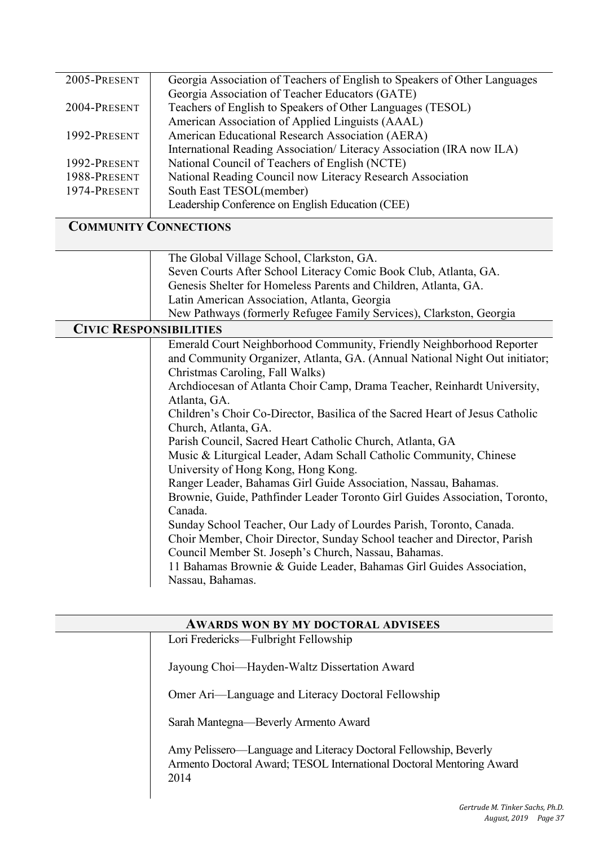| 2005-PRESENT | Georgia Association of Teachers of English to Speakers of Other Languages |
|--------------|---------------------------------------------------------------------------|
|              | Georgia Association of Teacher Educators (GATE)                           |
| 2004-PRESENT | Teachers of English to Speakers of Other Languages (TESOL)                |
|              | American Association of Applied Linguists (AAAL)                          |
| 1992-PRESENT | American Educational Research Association (AERA)                          |
|              | International Reading Association/ Literacy Association (IRA now ILA)     |
| 1992-PRESENT | National Council of Teachers of English (NCTE)                            |
| 1988-PRESENT | National Reading Council now Literacy Research Association                |
| 1974-PRESENT | South East TESOL(member)                                                  |
|              | Leadership Conference on English Education (CEE)                          |

### **COMMUNITY CONNECTIONS**

The Global Village School, Clarkston, GA. Seven Courts After School Literacy Comic Book Club, Atlanta, GA. Genesis Shelter for Homeless Parents and Children, Atlanta, GA. Latin American Association, Atlanta, Georgia New Pathways (formerly Refugee Family Services), Clarkston, Georgia

### **CIVIC RESPONSIBILITIES**

Parish Council, Sacred Heart Catholic Church, Atlanta, GA Ranger Leader, Bahamas Girl Guide Association, Nassau, Bahamas. Sunday School Teacher, Our Lady of Lourdes Parish, Toronto, Canada. 11 Bahamas Brownie & Guide Leader, Bahamas Girl Guides Association, Emerald Court Neighborhood Community, Friendly Neighborhood Reporter and Community Organizer, Atlanta, GA. (Annual National Night Out initiator; Christmas Caroling, Fall Walks) Archdiocesan of Atlanta Choir Camp, Drama Teacher, Reinhardt University, Atlanta, GA. Children's Choir Co-Director, Basilica of the Sacred Heart of Jesus Catholic Church, Atlanta, GA. Music & Liturgical Leader, Adam Schall Catholic Community, Chinese University of Hong Kong, Hong Kong. Brownie, Guide, Pathfinder Leader Toronto Girl Guides Association, Toronto, Canada. Choir Member, Choir Director, Sunday School teacher and Director, Parish Council Member St. Joseph's Church, Nassau, Bahamas. Nassau, Bahamas.

| <b>AWARDS WON BY MY DOCTORAL ADVISEES</b> |                                                                                                                                                  |  |  |  |  |
|-------------------------------------------|--------------------------------------------------------------------------------------------------------------------------------------------------|--|--|--|--|
|                                           | Lori Fredericks—Fulbright Fellowship                                                                                                             |  |  |  |  |
|                                           | Jayoung Choi—Hayden-Waltz Dissertation Award                                                                                                     |  |  |  |  |
|                                           | Omer Ari—Language and Literacy Doctoral Fellowship                                                                                               |  |  |  |  |
|                                           | Sarah Mantegna—Beverly Armento Award                                                                                                             |  |  |  |  |
|                                           | Amy Pelissero—Language and Literacy Doctoral Fellowship, Beverly<br>Armento Doctoral Award; TESOL International Doctoral Mentoring Award<br>2014 |  |  |  |  |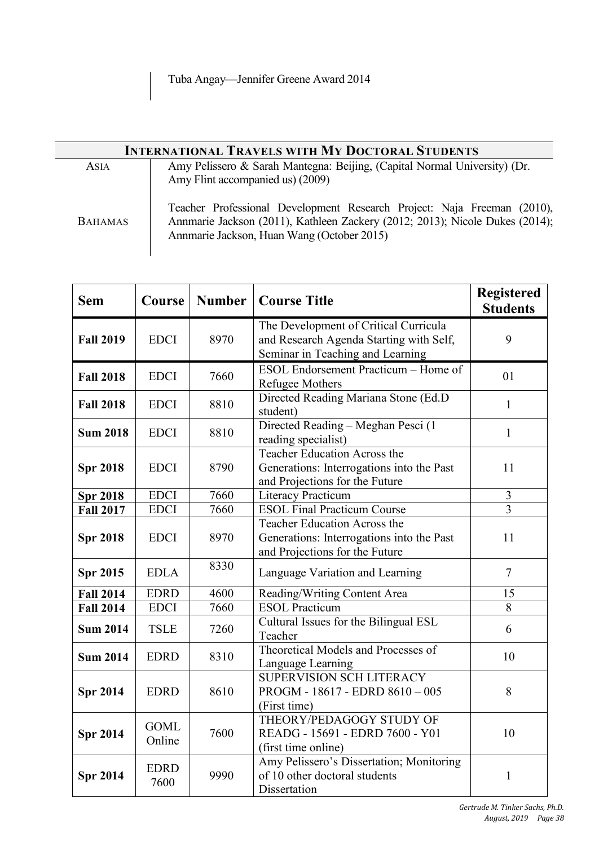| <b>INTERNATIONAL TRAVELS WITH MY DOCTORAL STUDENTS</b> |                                                                                                                                                                                                       |  |  |  |
|--------------------------------------------------------|-------------------------------------------------------------------------------------------------------------------------------------------------------------------------------------------------------|--|--|--|
| ASIA                                                   | Amy Pelissero & Sarah Mantegna: Beijing, (Capital Normal University) (Dr.<br>Amy Flint accompanied us) (2009)                                                                                         |  |  |  |
| <b>BAHAMAS</b>                                         | Teacher Professional Development Research Project: Naja Freeman (2010),<br>Annmarie Jackson (2011), Kathleen Zackery (2012; 2013); Nicole Dukes (2014);<br>Annmarie Jackson, Huan Wang (October 2015) |  |  |  |

| <b>Sem</b>       | <b>Course</b>         | <b>Number</b> | <b>Course Title</b>                                                                                                  | <b>Registered</b><br><b>Students</b> |
|------------------|-----------------------|---------------|----------------------------------------------------------------------------------------------------------------------|--------------------------------------|
| <b>Fall 2019</b> | <b>EDCI</b>           | 8970          | The Development of Critical Curricula<br>and Research Agenda Starting with Self,<br>Seminar in Teaching and Learning | 9                                    |
| <b>Fall 2018</b> | <b>EDCI</b>           | 7660          | ESOL Endorsement Practicum – Home of<br>Refugee Mothers                                                              | 01                                   |
| <b>Fall 2018</b> | <b>EDCI</b>           | 8810          | Directed Reading Mariana Stone (Ed.D)<br>student)                                                                    | $\mathbf{1}$                         |
| <b>Sum 2018</b>  | <b>EDCI</b>           | 8810          | Directed Reading - Meghan Pesci (1<br>reading specialist)                                                            | $\mathbf{1}$                         |
| <b>Spr 2018</b>  | <b>EDCI</b>           | 8790          | Teacher Education Across the<br>Generations: Interrogations into the Past<br>and Projections for the Future          | 11                                   |
| <b>Spr 2018</b>  | <b>EDCI</b>           | 7660          | <b>Literacy Practicum</b>                                                                                            | 3                                    |
| <b>Fall 2017</b> | <b>EDCI</b>           | 7660          | <b>ESOL Final Practicum Course</b>                                                                                   | 3                                    |
| <b>Spr 2018</b>  | <b>EDCI</b>           | 8970          | Teacher Education Across the<br>Generations: Interrogations into the Past<br>and Projections for the Future          | 11                                   |
| <b>Spr 2015</b>  | <b>EDLA</b>           | 8330          | Language Variation and Learning                                                                                      | $\overline{7}$                       |
| <b>Fall 2014</b> | <b>EDRD</b>           | 4600          | Reading/Writing Content Area                                                                                         | 15                                   |
| <b>Fall 2014</b> | <b>EDCI</b>           | 7660          | <b>ESOL Practicum</b>                                                                                                | 8                                    |
| <b>Sum 2014</b>  | <b>TSLE</b>           | 7260          | Cultural Issues for the Bilingual ESL<br>Teacher                                                                     | 6                                    |
| <b>Sum 2014</b>  | <b>EDRD</b>           | 8310          | Theoretical Models and Processes of<br>Language Learning                                                             | 10                                   |
| <b>Spr 2014</b>  | <b>EDRD</b>           | 8610          | <b>SUPERVISION SCH LITERACY</b><br>PROGM - 18617 - EDRD 8610 - 005<br>(First time)                                   | 8                                    |
| <b>Spr 2014</b>  | <b>GOML</b><br>Online | 7600          | THEORY/PEDAGOGY STUDY OF<br>READG - 15691 - EDRD 7600 - Y01<br>(first time online)                                   | 10                                   |
| <b>Spr 2014</b>  | <b>EDRD</b><br>7600   | 9990          | Amy Pelissero's Dissertation; Monitoring<br>of 10 other doctoral students<br>Dissertation                            | $\mathbf{1}$                         |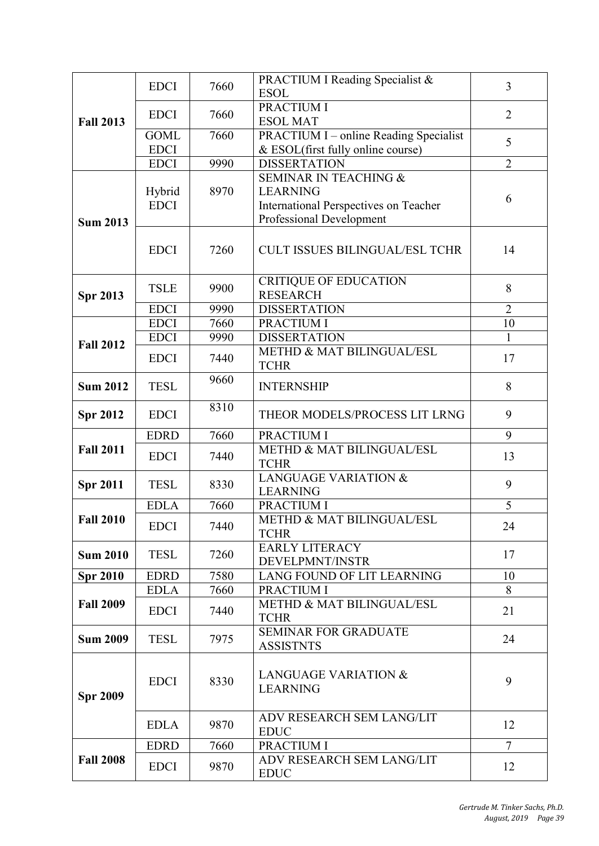|                  | <b>EDCI</b>                | 7660         | PRACTIUM I Reading Specialist &<br><b>ESOL</b>            | 3                    |
|------------------|----------------------------|--------------|-----------------------------------------------------------|----------------------|
|                  | <b>EDCI</b>                | 7660         | PRACTIUM I                                                | $\overline{2}$       |
| <b>Fall 2013</b> | <b>GOML</b>                | 7660         | <b>ESOL MAT</b><br>PRACTIUM I - online Reading Specialist |                      |
|                  | <b>EDCI</b>                |              | & ESOL(first fully online course)                         | 5                    |
|                  | <b>EDCI</b>                | 9990         | <b>DISSERTATION</b>                                       | $\overline{2}$       |
|                  |                            |              | <b>SEMINAR IN TEACHING &amp;</b>                          |                      |
|                  | Hybrid                     | 8970         | <b>LEARNING</b>                                           | 6                    |
|                  | <b>EDCI</b>                |              | International Perspectives on Teacher                     |                      |
| <b>Sum 2013</b>  |                            |              | Professional Development                                  |                      |
|                  | <b>EDCI</b>                | 7260         | <b>CULT ISSUES BILINGUAL/ESL TCHR</b>                     | 14                   |
|                  | <b>TSLE</b>                | 9900         | <b>CRITIQUE OF EDUCATION</b>                              | 8                    |
| <b>Spr 2013</b>  |                            |              | <b>RESEARCH</b>                                           |                      |
|                  | <b>EDCI</b><br><b>EDCI</b> | 9990<br>7660 | <b>DISSERTATION</b><br>PRACTIUM I                         | $\overline{2}$<br>10 |
|                  | <b>EDCI</b>                | 9990         | <b>DISSERTATION</b>                                       |                      |
| <b>Fall 2012</b> |                            |              | METHD & MAT BILINGUAL/ESL                                 |                      |
|                  | <b>EDCI</b>                | 7440         | <b>TCHR</b>                                               | 17                   |
| <b>Sum 2012</b>  | <b>TESL</b>                | 9660         | <b>INTERNSHIP</b>                                         | 8                    |
| <b>Spr 2012</b>  | <b>EDCI</b>                | 8310         | THEOR MODELS/PROCESS LIT LRNG                             | 9                    |
|                  | <b>EDRD</b>                | 7660         | PRACTIUM I                                                | 9                    |
| <b>Fall 2011</b> | <b>EDCI</b>                | 7440         | METHD & MAT BILINGUAL/ESL<br><b>TCHR</b>                  | 13                   |
| <b>Spr 2011</b>  | <b>TESL</b>                | 8330         | <b>LANGUAGE VARIATION &amp;</b><br><b>LEARNING</b>        | 9                    |
|                  | <b>EDLA</b>                | 7660         | PRACTIUM I                                                | 5                    |
| <b>Fall 2010</b> | <b>EDCI</b>                | 7440         | <b>METHD &amp; MAT BILINGUAL/ESL</b><br><b>TCHR</b>       | 24                   |
| <b>Sum 2010</b>  | <b>TESL</b>                | 7260         | <b>EARLY LITERACY</b><br>DEVELPMNT/INSTR                  | 17                   |
| <b>Spr 2010</b>  | <b>EDRD</b>                | 7580         | LANG FOUND OF LIT LEARNING                                | 10                   |
|                  | <b>EDLA</b>                | 7660         | PRACTIUM I                                                | 8                    |
| <b>Fall 2009</b> | <b>EDCI</b>                | 7440         | METHD & MAT BILINGUAL/ESL<br><b>TCHR</b>                  | 21                   |
| <b>Sum 2009</b>  | <b>TESL</b>                | 7975         | <b>SEMINAR FOR GRADUATE</b><br><b>ASSISTNTS</b>           | 24                   |
|                  |                            |              |                                                           |                      |
| <b>Spr 2009</b>  | <b>EDCI</b>                | 8330         | <b>LANGUAGE VARIATION &amp;</b><br><b>LEARNING</b>        | 9                    |
|                  | <b>EDLA</b>                | 9870         | ADV RESEARCH SEM LANG/LIT<br><b>EDUC</b>                  | 12                   |
|                  | <b>EDRD</b>                | 7660         | PRACTIUM I                                                | $\overline{7}$       |
| <b>Fall 2008</b> | <b>EDCI</b>                | 9870         | ADV RESEARCH SEM LANG/LIT<br><b>EDUC</b>                  | 12                   |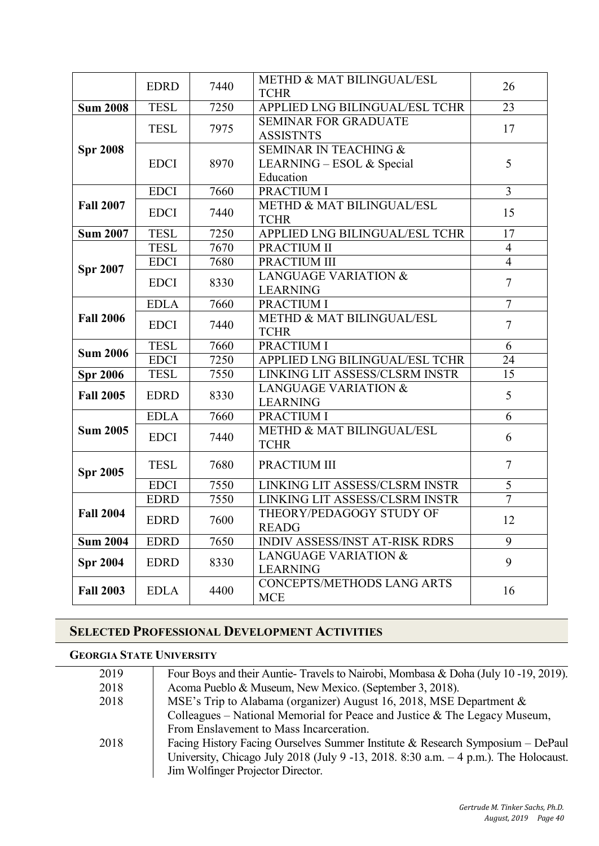|                  | <b>EDRD</b> | 7440 | METHD & MAT BILINGUAL/ESL<br><b>TCHR</b>                                   | 26             |
|------------------|-------------|------|----------------------------------------------------------------------------|----------------|
| <b>Sum 2008</b>  | <b>TESL</b> | 7250 | APPLIED LNG BILINGUAL/ESL TCHR                                             | 23             |
|                  | <b>TESL</b> | 7975 | <b>SEMINAR FOR GRADUATE</b><br><b>ASSISTNTS</b>                            | 17             |
| <b>Spr 2008</b>  | <b>EDCI</b> | 8970 | <b>SEMINAR IN TEACHING &amp;</b><br>LEARNING – ESOL & Special<br>Education | 5              |
|                  | <b>EDCI</b> | 7660 | PRACTIUM I                                                                 | $\overline{3}$ |
| <b>Fall 2007</b> | <b>EDCI</b> | 7440 | METHD & MAT BILINGUAL/ESL<br><b>TCHR</b>                                   | 15             |
| <b>Sum 2007</b>  | <b>TESL</b> | 7250 | APPLIED LNG BILINGUAL/ESL TCHR                                             | 17             |
|                  | <b>TESL</b> | 7670 | PRACTIUM II                                                                | $\overline{4}$ |
| <b>Spr 2007</b>  | <b>EDCI</b> | 7680 | PRACTIUM III                                                               | $\overline{4}$ |
|                  | <b>EDCI</b> | 8330 | <b>LANGUAGE VARIATION &amp;</b><br><b>LEARNING</b>                         | $\overline{7}$ |
|                  | <b>EDLA</b> | 7660 | PRACTIUM I                                                                 | $\overline{7}$ |
| <b>Fall 2006</b> | <b>EDCI</b> | 7440 | <b>METHD &amp; MAT BILINGUAL/ESL</b><br><b>TCHR</b>                        | $\overline{7}$ |
| <b>Sum 2006</b>  | <b>TESL</b> | 7660 | PRACTIUM I                                                                 | 6              |
|                  | <b>EDCI</b> | 7250 | APPLIED LNG BILINGUAL/ESL TCHR                                             | 24             |
| <b>Spr 2006</b>  | <b>TESL</b> | 7550 | LINKING LIT ASSESS/CLSRM INSTR                                             | 15             |
| <b>Fall 2005</b> | <b>EDRD</b> | 8330 | <b>LANGUAGE VARIATION &amp;</b><br><b>LEARNING</b>                         | 5              |
|                  | <b>EDLA</b> | 7660 | PRACTIUM I                                                                 | 6              |
| <b>Sum 2005</b>  | <b>EDCI</b> | 7440 | METHD & MAT BILINGUAL/ESL<br><b>TCHR</b>                                   | 6              |
| <b>Spr 2005</b>  | <b>TESL</b> | 7680 | PRACTIUM III                                                               | $\overline{7}$ |
|                  | <b>EDCI</b> | 7550 | LINKING LIT ASSESS/CLSRM INSTR                                             | 5              |
|                  | <b>EDRD</b> | 7550 | LINKING LIT ASSESS/CLSRM INSTR                                             | $\overline{7}$ |
| <b>Fall 2004</b> | <b>EDRD</b> | 7600 | THEORY/PEDAGOGY STUDY OF<br><b>READG</b>                                   | 12             |
| <b>Sum 2004</b>  | <b>EDRD</b> | 7650 | <b>INDIV ASSESS/INST AT-RISK RDRS</b>                                      | 9              |
| <b>Spr 2004</b>  | <b>EDRD</b> | 8330 | <b>LANGUAGE VARIATION &amp;</b><br><b>LEARNING</b>                         | 9              |
| <b>Fall 2003</b> | <b>EDLA</b> | 4400 | CONCEPTS/METHODS LANG ARTS<br><b>MCE</b>                                   | 16             |

### **SELECTED PROFESSIONAL DEVELOPMENT ACTIVITIES**

### **GEORGIA STATE UNIVERSITY**

| 2019 | Four Boys and their Auntie-Travels to Nairobi, Mombasa & Doha (July 10 -19, 2019).    |
|------|---------------------------------------------------------------------------------------|
| 2018 | Acoma Pueblo & Museum, New Mexico. (September 3, 2018).                               |
| 2018 | MSE's Trip to Alabama (organizer) August 16, 2018, MSE Department &                   |
|      | Colleagues – National Memorial for Peace and Justice $\&$ The Legacy Museum,          |
|      | From Enslavement to Mass Incarceration.                                               |
| 2018 | Facing History Facing Ourselves Summer Institute & Research Symposium $-$ DePaul      |
|      | University, Chicago July 2018 (July 9 -13, 2018. 8:30 a.m. $-4$ p.m.). The Holocaust. |
|      | Jim Wolfinger Projector Director.                                                     |